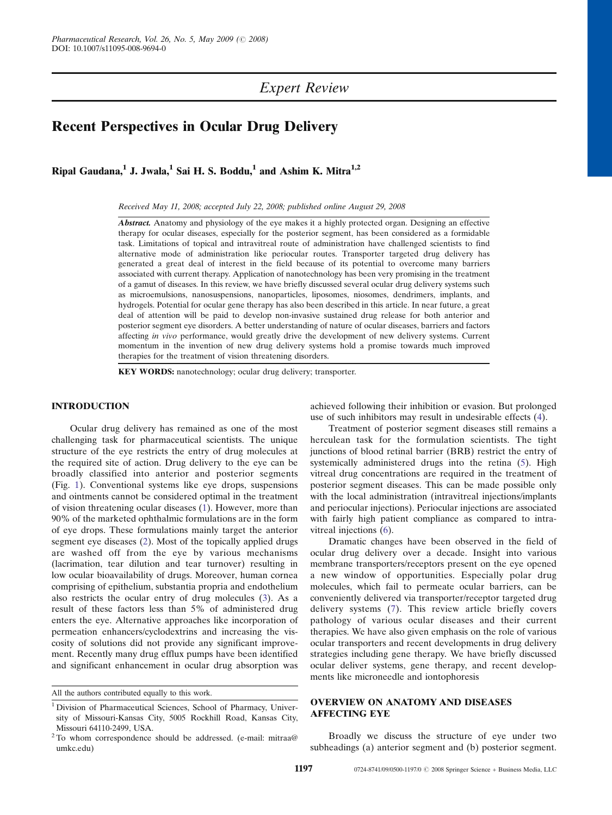# Expert Review

# Recent Perspectives in Ocular Drug Delivery

Ripal Gaudana,<sup>1</sup> J. Jwala,<sup>1</sup> Sai H. S. Boddu,<sup>1</sup> and Ashim K. Mitra<sup>1,2</sup>

Received May 11, 2008; accepted July 22, 2008; published online August 29, 2008

Abstract. Anatomy and physiology of the eye makes it a highly protected organ. Designing an effective therapy for ocular diseases, especially for the posterior segment, has been considered as a formidable task. Limitations of topical and intravitreal route of administration have challenged scientists to find alternative mode of administration like periocular routes. Transporter targeted drug delivery has generated a great deal of interest in the field because of its potential to overcome many barriers associated with current therapy. Application of nanotechnology has been very promising in the treatment of a gamut of diseases. In this review, we have briefly discussed several ocular drug delivery systems such as microemulsions, nanosuspensions, nanoparticles, liposomes, niosomes, dendrimers, implants, and hydrogels. Potential for ocular gene therapy has also been described in this article. In near future, a great deal of attention will be paid to develop non-invasive sustained drug release for both anterior and posterior segment eye disorders. A better understanding of nature of ocular diseases, barriers and factors affecting in vivo performance, would greatly drive the development of new delivery systems. Current momentum in the invention of new drug delivery systems hold a promise towards much improved therapies for the treatment of vision threatening disorders.

KEY WORDS: nanotechnology; ocular drug delivery; transporter.

## INTRODUCTION

Ocular drug delivery has remained as one of the most challenging task for pharmaceutical scientists. The unique structure of the eye restricts the entry of drug molecules at the required site of action. Drug delivery to the eye can be broadly classified into anterior and posterior segments (Fig. 1). Conventional systems like eye drops, suspensions and ointments cannot be considered optimal in the treatment of vision threatening ocular diseases (1). However, more than 90% of the marketed ophthalmic formulations are in the form of eye drops. These formulations mainly target the anterior segment eye diseases (2). Most of the topically applied drugs are washed off from the eye by various mechanisms (lacrimation, tear dilution and tear turnover) resulting in low ocular bioavailability of drugs. Moreover, human cornea comprising of epithelium, substantia propria and endothelium also restricts the ocular entry of drug molecules (3). As a result of these factors less than 5% of administered drug enters the eye. Alternative approaches like incorporation of permeation enhancers/cyclodextrins and increasing the viscosity of solutions did not provide any significant improvement. Recently many drug efflux pumps have been identified and significant enhancement in ocular drug absorption was

All the authors contributed equally to this work.

achieved following their inhibition or evasion. But prolonged use of such inhibitors may result in undesirable effects (4).

Treatment of posterior segment diseases still remains a herculean task for the formulation scientists. The tight junctions of blood retinal barrier (BRB) restrict the entry of systemically administered drugs into the retina (5). High vitreal drug concentrations are required in the treatment of posterior segment diseases. This can be made possible only with the local administration (intravitreal injections/implants and periocular injections). Periocular injections are associated with fairly high patient compliance as compared to intravitreal injections (6).

Dramatic changes have been observed in the field of ocular drug delivery over a decade. Insight into various membrane transporters/receptors present on the eye opened a new window of opportunities. Especially polar drug molecules, which fail to permeate ocular barriers, can be conveniently delivered via transporter/receptor targeted drug delivery systems (7). This review article briefly covers pathology of various ocular diseases and their current therapies. We have also given emphasis on the role of various ocular transporters and recent developments in drug delivery strategies including gene therapy. We have briefly discussed ocular deliver systems, gene therapy, and recent developments like microneedle and iontophoresis

## OVERVIEW ON ANATOMY AND DISEASES AFFECTING EYE

Broadly we discuss the structure of eye under two subheadings (a) anterior segment and (b) posterior segment.

<sup>&</sup>lt;sup>1</sup> Division of Pharmaceutical Sciences, School of Pharmacy, University of Missouri-Kansas City, 5005 Rockhill Road, Kansas City, Missouri 64110-2499, USA.

 $2$ To whom correspondence should be addressed. (e-mail: mitraa@ umkc.edu)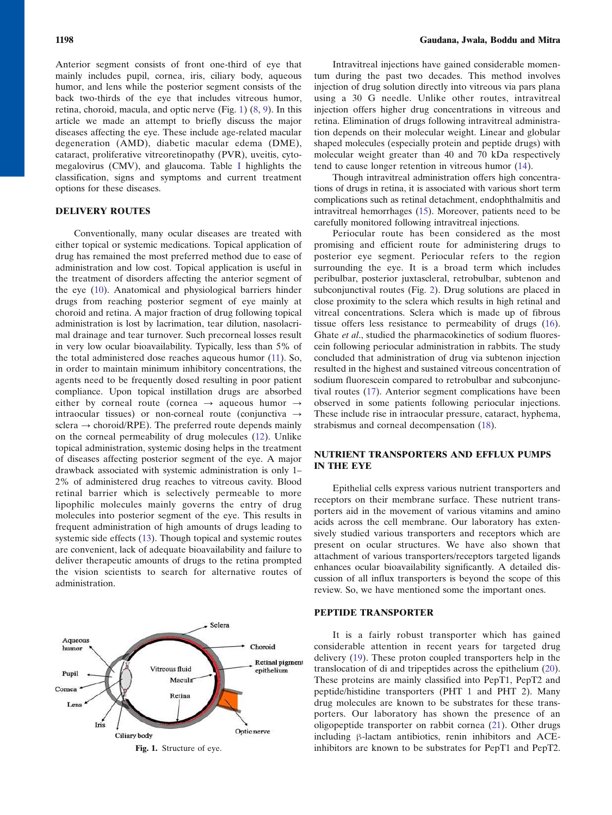Anterior segment consists of front one-third of eye that mainly includes pupil, cornea, iris, ciliary body, aqueous humor, and lens while the posterior segment consists of the back two-thirds of the eye that includes vitreous humor, retina, choroid, macula, and optic nerve (Fig. 1) (8, 9). In this article we made an attempt to briefly discuss the major diseases affecting the eye. These include age-related macular degeneration (AMD), diabetic macular edema (DME), cataract, proliferative vitreoretinopathy (PVR), uveitis, cytomegalovirus (CMV), and glaucoma. Table I highlights the classification, signs and symptoms and current treatment options for these diseases.

## DELIVERY ROUTES

Conventionally, many ocular diseases are treated with either topical or systemic medications. Topical application of drug has remained the most preferred method due to ease of administration and low cost. Topical application is useful in the treatment of disorders affecting the anterior segment of the eye (10). Anatomical and physiological barriers hinder drugs from reaching posterior segment of eye mainly at choroid and retina. A major fraction of drug following topical administration is lost by lacrimation, tear dilution, nasolacrimal drainage and tear turnover. Such precorneal losses result in very low ocular bioavailability. Typically, less than 5% of the total administered dose reaches aqueous humor (11). So, in order to maintain minimum inhibitory concentrations, the agents need to be frequently dosed resulting in poor patient compliance. Upon topical instillation drugs are absorbed either by corneal route (cornea  $\rightarrow$  aqueous humor  $\rightarrow$ intraocular tissues) or non-corneal route (conjunctiva  $\rightarrow$ sclera  $\rightarrow$  choroid/RPE). The preferred route depends mainly on the corneal permeability of drug molecules (12). Unlike topical administration, systemic dosing helps in the treatment of diseases affecting posterior segment of the eye. A major drawback associated with systemic administration is only 1– 2% of administered drug reaches to vitreous cavity. Blood retinal barrier which is selectively permeable to more lipophilic molecules mainly governs the entry of drug molecules into posterior segment of the eye. This results in frequent administration of high amounts of drugs leading to systemic side effects (13). Though topical and systemic routes are convenient, lack of adequate bioavailability and failure to deliver therapeutic amounts of drugs to the retina prompted the vision scientists to search for alternative routes of administration.



Intravitreal injections have gained considerable momentum during the past two decades. This method involves injection of drug solution directly into vitreous via pars plana using a 30 G needle. Unlike other routes, intravitreal injection offers higher drug concentrations in vitreous and retina. Elimination of drugs following intravitreal administration depends on their molecular weight. Linear and globular shaped molecules (especially protein and peptide drugs) with molecular weight greater than 40 and 70 kDa respectively tend to cause longer retention in vitreous humor (14).

Though intravitreal administration offers high concentrations of drugs in retina, it is associated with various short term complications such as retinal detachment, endophthalmitis and intravitreal hemorrhages (15). Moreover, patients need to be carefully monitored following intravitreal injections.

Periocular route has been considered as the most promising and efficient route for administering drugs to posterior eye segment. Periocular refers to the region surrounding the eye. It is a broad term which includes peribulbar, posterior juxtascleral, retrobulbar, subtenon and subconjunctival routes (Fig. 2). Drug solutions are placed in close proximity to the sclera which results in high retinal and vitreal concentrations. Sclera which is made up of fibrous tissue offers less resistance to permeability of drugs (16). Ghate et al., studied the pharmacokinetics of sodium fluorescein following periocular administration in rabbits. The study concluded that administration of drug via subtenon injection resulted in the highest and sustained vitreous concentration of sodium fluorescein compared to retrobulbar and subconjunctival routes (17). Anterior segment complications have been observed in some patients following periocular injections. These include rise in intraocular pressure, cataract, hyphema, strabismus and corneal decompensation (18).

## NUTRIENT TRANSPORTERS AND EFFLUX PUMPS IN THE EYE

Epithelial cells express various nutrient transporters and receptors on their membrane surface. These nutrient transporters aid in the movement of various vitamins and amino acids across the cell membrane. Our laboratory has extensively studied various transporters and receptors which are present on ocular structures. We have also shown that attachment of various transporters/receptors targeted ligands enhances ocular bioavailability significantly. A detailed discussion of all influx transporters is beyond the scope of this review. So, we have mentioned some the important ones.

## PEPTIDE TRANSPORTER

It is a fairly robust transporter which has gained considerable attention in recent years for targeted drug delivery (19). These proton coupled transporters help in the translocation of di and tripeptides across the epithelium (20). These proteins are mainly classified into PepT1, PepT2 and peptide/histidine transporters (PHT 1 and PHT 2). Many drug molecules are known to be substrates for these transporters. Our laboratory has shown the presence of an oligopeptide transporter on rabbit cornea (21). Other drugs including β-lactam antibiotics, renin inhibitors and ACE-Fig. 1. Structure of eye. This inhibitors are known to be substrates for PepT1 and PepT2.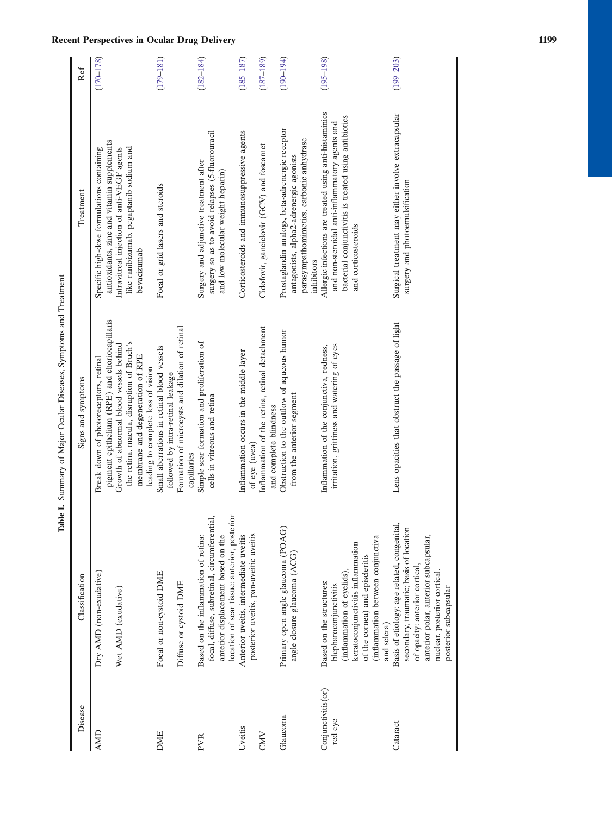| ۱<br>I<br>֠                  |
|------------------------------|
| -<br>;<br>ĺ                  |
| ֖֖֦֦֪֦֪֪֦֚֚֚֚֚֡֝֝֝<br>֚<br>Č |
| i                            |
| O                            |
|                              |
|                              |
| I                            |
| j                            |
| ĺ                            |

| Disease                       | Classification                                                                                                                                                                                                                           | Signs and symptoms                                                                                                                                             | Treatment                                                                                                                                                                                | Ref           |
|-------------------------------|------------------------------------------------------------------------------------------------------------------------------------------------------------------------------------------------------------------------------------------|----------------------------------------------------------------------------------------------------------------------------------------------------------------|------------------------------------------------------------------------------------------------------------------------------------------------------------------------------------------|---------------|
| Я                             | Dry AMD (non-exudative)                                                                                                                                                                                                                  | pigment epithelium (RPE) and choriocapillaris<br>Break down of photoreceptors, retinal                                                                         | antioxidants, zinc and vitamin supplements<br>Specific high-dose formulations containing                                                                                                 | $(170 - 178)$ |
|                               | Wet AMD (exudative)                                                                                                                                                                                                                      | the retina, macula, disruption of Bruch's<br>Growth of abnormal blood vessels behind<br>membrane and degeneration of RPE<br>leading to complete loss of vision | like ranibizumab, pegaptanib sodium and<br>Intravitreal injection of anti-VEGF agents<br>bevacizumab                                                                                     |               |
| <b>DME</b>                    | Focal or non-cystoid DME                                                                                                                                                                                                                 | Small aberrations in retinal blood vessels<br>followed by intra-retinal leakage                                                                                | Focal or grid lasers and steroids                                                                                                                                                        | $(179 - 181)$ |
|                               | Diffuse or cystoid DME                                                                                                                                                                                                                   | Formation of microcysts and dilation of retinal<br>capillaries                                                                                                 |                                                                                                                                                                                          |               |
| PVR                           | focal, diffuse, subretinal, circumferential,<br>Based on the inflammation of retina:                                                                                                                                                     | Simple scar formation and proliferation of<br>cells in vitreous and retina                                                                                     | surgery so as to avoid relapses (5-fluorouracil<br>Surgery and adjunctive treatment after                                                                                                | $(182 - 184)$ |
|                               | location of scar tissue: anterior, posterior<br>anterior displacement based on the                                                                                                                                                       |                                                                                                                                                                | and low molecular weight heparin)                                                                                                                                                        |               |
| Uveitis                       | posterior uveitis, pan-uveitic uveitis<br>Anterior uveitis, intermediate uveitis                                                                                                                                                         | Inflammation occurs in the middle layer<br>of eye (uvea)                                                                                                       | Corticosteroids and immunosuppressive agents                                                                                                                                             | $(185 - 187)$ |
| <b>CMV</b>                    |                                                                                                                                                                                                                                          | Inflammation of the retina, retinal detachment<br>and complete blindness                                                                                       | Cidofovir, ganciclovir (GCV) and foscarnet                                                                                                                                               | $(187 - 189)$ |
| Glaucoma                      | Primary open angle glaucoma (POAG)<br>angle closure glaucoma (ACG)                                                                                                                                                                       | Obstruction to the outflow of aqueous humor<br>from the anterior segment                                                                                       | Prostaglandin analogs, beta-adrenergic receptor<br>parasympathomimetics, carbonic anhydrase<br>antagonists, alpha2-adrenergic agonists<br>inhibitors                                     | $(190 - 194)$ |
| Conjunctivitis(or)<br>red eye | inflammation between conjunctiva<br>keratoconjunctivitis inflammation<br>of the cornea) and episcleritis<br>(inflammation of eyelids).<br>Based on the structures:<br>blepharoconjunctivitis                                             | irritation, grittiness and watering of eyes<br>Inflammation of the conjunctiva, redness,                                                                       | Allergic infections are treated using anti-histaminics<br>bacterial conjunctivitis is treated using antibiotics<br>and non-steroidal anti-inflammatory agents and<br>and corticosteroids | $(195 - 198)$ |
| Cataract                      | Basis of etiology: age related, congenital,<br>secondary, traumatic; basis of location<br>anterior polar, anterior subcapsular,<br>of opacity: anterior cortical<br>nuclear, posterior cortical,<br>posterior subcapsular<br>and sclera) | Lens opacities that obstruct the passage of light                                                                                                              | Surgical treatment may either involve extracapsular<br>surgery and photoemulsification                                                                                                   | $(199 - 203)$ |

## Recent Perspectives in Ocular Drug Delivery 1199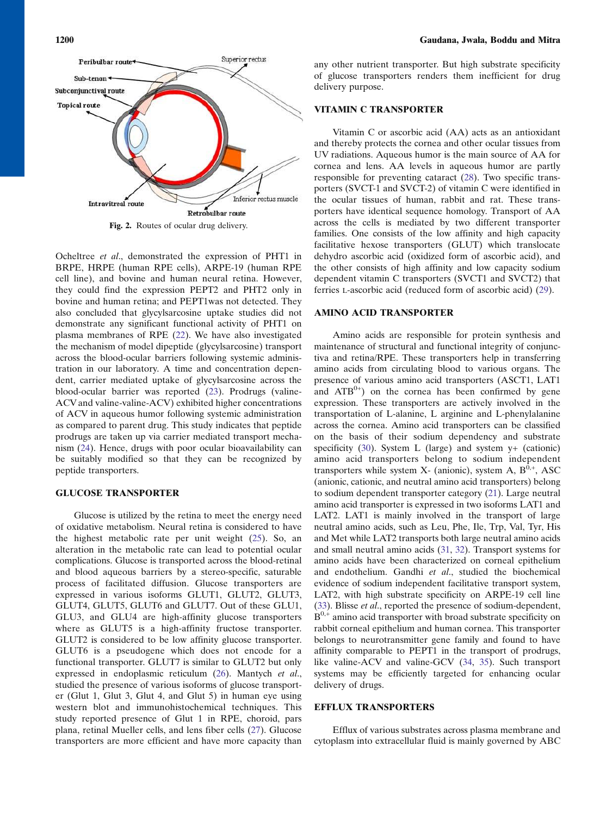

Fig. 2. Routes of ocular drug delivery.

Ocheltree et al., demonstrated the expression of PHT1 in BRPE, HRPE (human RPE cells), ARPE-19 (human RPE cell line), and bovine and human neural retina. However, they could find the expression PEPT2 and PHT2 only in bovine and human retina; and PEPT1was not detected. They also concluded that glycylsarcosine uptake studies did not demonstrate any significant functional activity of PHT1 on plasma membranes of RPE (22). We have also investigated the mechanism of model dipeptide (glycylsarcosine) transport across the blood-ocular barriers following systemic administration in our laboratory. A time and concentration dependent, carrier mediated uptake of glycylsarcosine across the blood-ocular barrier was reported (23). Prodrugs (valine-ACV and valine-valine-ACV) exhibited higher concentrations of ACV in aqueous humor following systemic administration as compared to parent drug. This study indicates that peptide prodrugs are taken up via carrier mediated transport mechanism (24). Hence, drugs with poor ocular bioavailability can be suitably modified so that they can be recognized by peptide transporters.

## GLUCOSE TRANSPORTER

Glucose is utilized by the retina to meet the energy need of oxidative metabolism. Neural retina is considered to have the highest metabolic rate per unit weight (25). So, an alteration in the metabolic rate can lead to potential ocular complications. Glucose is transported across the blood-retinal and blood aqueous barriers by a stereo-specific, saturable process of facilitated diffusion. Glucose transporters are expressed in various isoforms GLUT1, GLUT2, GLUT3, GLUT4, GLUT5, GLUT6 and GLUT7. Out of these GLU1, GLU3, and GLU4 are high-affinity glucose transporters where as GLUT5 is a high-affinity fructose transporter. GLUT2 is considered to be low affinity glucose transporter. GLUT6 is a pseudogene which does not encode for a functional transporter. GLUT7 is similar to GLUT2 but only expressed in endoplasmic reticulum (26). Mantych et al., studied the presence of various isoforms of glucose transporter (Glut 1, Glut 3, Glut 4, and Glut 5) in human eye using western blot and immunohistochemical techniques. This study reported presence of Glut 1 in RPE, choroid, pars plana, retinal Mueller cells, and lens fiber cells (27). Glucose transporters are more efficient and have more capacity than

any other nutrient transporter. But high substrate specificity of glucose transporters renders them inefficient for drug delivery purpose.

## VITAMIN C TRANSPORTER

Vitamin C or ascorbic acid (AA) acts as an antioxidant and thereby protects the cornea and other ocular tissues from UV radiations. Aqueous humor is the main source of AA for cornea and lens. AA levels in aqueous humor are partly responsible for preventing cataract (28). Two specific transporters (SVCT-1 and SVCT-2) of vitamin C were identified in the ocular tissues of human, rabbit and rat. These transporters have identical sequence homology. Transport of AA across the cells is mediated by two different transporter families. One consists of the low affinity and high capacity facilitative hexose transporters (GLUT) which translocate dehydro ascorbic acid (oxidized form of ascorbic acid), and the other consists of high affinity and low capacity sodium dependent vitamin C transporters (SVCT1 and SVCT2) that ferries L-ascorbic acid (reduced form of ascorbic acid) (29).

## AMINO ACID TRANSPORTER

Amino acids are responsible for protein synthesis and maintenance of structural and functional integrity of conjunctiva and retina/RPE. These transporters help in transferring amino acids from circulating blood to various organs. The presence of various amino acid transporters (ASCT1, LAT1 and  $ATB^{0+}$ ) on the cornea has been confirmed by gene expression. These transporters are actively involved in the transportation of L-alanine, L arginine and L-phenylalanine across the cornea. Amino acid transporters can be classified on the basis of their sodium dependency and substrate specificity (30). System L (large) and system  $y+$  (cationic) amino acid transporters belong to sodium independent transporters while system X- (anionic), system A,  $B^{0,+}$ , ASC (anionic, cationic, and neutral amino acid transporters) belong to sodium dependent transporter category (21). Large neutral amino acid transporter is expressed in two isoforms LAT1 and LAT2. LAT1 is mainly involved in the transport of large neutral amino acids, such as Leu, Phe, Ile, Trp, Val, Tyr, His and Met while LAT2 transports both large neutral amino acids and small neutral amino acids (31, 32). Transport systems for amino acids have been characterized on corneal epithelium and endothelium. Gandhi et al., studied the biochemical evidence of sodium independent facilitative transport system, LAT2, with high substrate specificity on ARPE-19 cell line (33). Blisse et al., reported the presence of sodium-dependent,  $B^{0,+}$  amino acid transporter with broad substrate specificity on rabbit corneal epithelium and human cornea. This transporter belongs to neurotransmitter gene family and found to have affinity comparable to PEPT1 in the transport of prodrugs, like valine-ACV and valine-GCV (34, 35). Such transport systems may be efficiently targeted for enhancing ocular delivery of drugs.

## EFFLUX TRANSPORTERS

Efflux of various substrates across plasma membrane and cytoplasm into extracellular fluid is mainly governed by ABC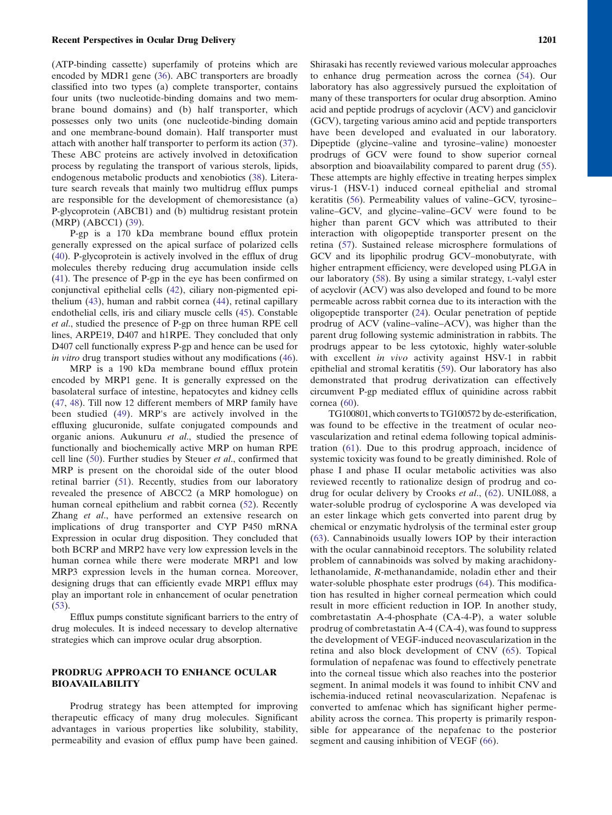(ATP-binding cassette) superfamily of proteins which are encoded by MDR1 gene (36). ABC transporters are broadly classified into two types (a) complete transporter, contains four units (two nucleotide-binding domains and two membrane bound domains) and (b) half transporter, which possesses only two units (one nucleotide-binding domain and one membrane-bound domain). Half transporter must attach with another half transporter to perform its action (37). These ABC proteins are actively involved in detoxification process by regulating the transport of various sterols, lipids, endogenous metabolic products and xenobiotics (38). Literature search reveals that mainly two multidrug efflux pumps are responsible for the development of chemoresistance (a) P-glycoprotein (ABCB1) and (b) multidrug resistant protein (MRP) (ABCC1) (39).

P-gp is a 170 kDa membrane bound efflux protein generally expressed on the apical surface of polarized cells (40). P-glycoprotein is actively involved in the efflux of drug molecules thereby reducing drug accumulation inside cells (41). The presence of P-gp in the eye has been confirmed on conjunctival epithelial cells (42), ciliary non-pigmented epithelium (43), human and rabbit cornea (44), retinal capillary endothelial cells, iris and ciliary muscle cells (45). Constable et al., studied the presence of P-gp on three human RPE cell lines, ARPE19, D407 and h1RPE. They concluded that only D407 cell functionally express P-gp and hence can be used for in vitro drug transport studies without any modifications (46).

MRP is a 190 kDa membrane bound efflux protein encoded by MRP1 gene. It is generally expressed on the basolateral surface of intestine, hepatocytes and kidney cells (47, 48). Till now 12 different members of MRP family have been studied (49). MRP's are actively involved in the effluxing glucuronide, sulfate conjugated compounds and organic anions. Aukunuru et al., studied the presence of functionally and biochemically active MRP on human RPE cell line (50). Further studies by Steuer et al., confirmed that MRP is present on the choroidal side of the outer blood retinal barrier (51). Recently, studies from our laboratory revealed the presence of ABCC2 (a MRP homologue) on human corneal epithelium and rabbit cornea (52). Recently Zhang et al., have performed an extensive research on implications of drug transporter and CYP P450 mRNA Expression in ocular drug disposition. They concluded that both BCRP and MRP2 have very low expression levels in the human cornea while there were moderate MRP1 and low MRP3 expression levels in the human cornea. Moreover, designing drugs that can efficiently evade MRP1 efflux may play an important role in enhancement of ocular penetration (53).

Efflux pumps constitute significant barriers to the entry of drug molecules. It is indeed necessary to develop alternative strategies which can improve ocular drug absorption.

## PRODRUG APPROACH TO ENHANCE OCULAR BIOAVAILABILITY

Prodrug strategy has been attempted for improving therapeutic efficacy of many drug molecules. Significant advantages in various properties like solubility, stability, permeability and evasion of efflux pump have been gained.

Shirasaki has recently reviewed various molecular approaches to enhance drug permeation across the cornea (54). Our laboratory has also aggressively pursued the exploitation of many of these transporters for ocular drug absorption. Amino acid and peptide prodrugs of acyclovir (ACV) and ganciclovir (GCV), targeting various amino acid and peptide transporters have been developed and evaluated in our laboratory. Dipeptide (glycine–valine and tyrosine–valine) monoester prodrugs of GCV were found to show superior corneal absorption and bioavailability compared to parent drug (55). These attempts are highly effective in treating herpes simplex virus-1 (HSV-1) induced corneal epithelial and stromal keratitis (56). Permeability values of valine–GCV, tyrosine– valine–GCV, and glycine–valine–GCV were found to be higher than parent GCV which was attributed to their interaction with oligopeptide transporter present on the retina (57). Sustained release microsphere formulations of GCV and its lipophilic prodrug GCV–monobutyrate, with higher entrapment efficiency, were developed using PLGA in our laboratory (58). By using a similar strategy, L-valyl ester of acyclovir (ACV) was also developed and found to be more permeable across rabbit cornea due to its interaction with the oligopeptide transporter (24). Ocular penetration of peptide prodrug of ACV (valine–valine–ACV), was higher than the parent drug following systemic administration in rabbits. The prodrugs appear to be less cytotoxic, highly water-soluble with excellent in vivo activity against HSV-1 in rabbit epithelial and stromal keratitis (59). Our laboratory has also demonstrated that prodrug derivatization can effectively circumvent P-gp mediated efflux of quinidine across rabbit cornea (60).

TG100801, which converts to TG100572 by de-esterification, was found to be effective in the treatment of ocular neovascularization and retinal edema following topical administration (61). Due to this prodrug approach, incidence of systemic toxicity was found to be greatly diminished. Role of phase I and phase II ocular metabolic activities was also reviewed recently to rationalize design of prodrug and codrug for ocular delivery by Crooks et al., (62). UNIL088, a water-soluble prodrug of cyclosporine A was developed via an ester linkage which gets converted into parent drug by chemical or enzymatic hydrolysis of the terminal ester group (63). Cannabinoids usually lowers IOP by their interaction with the ocular cannabinoid receptors. The solubility related problem of cannabinoids was solved by making arachidonylethanolamide, R-methanandamide, noladin ether and their water-soluble phosphate ester prodrugs (64). This modification has resulted in higher corneal permeation which could result in more efficient reduction in IOP. In another study, combretastatin A-4-phosphate (CA-4-P), a water soluble prodrug of combretastatin A-4 (CA-4), was found to suppress the development of VEGF-induced neovascularization in the retina and also block development of CNV (65). Topical formulation of nepafenac was found to effectively penetrate into the corneal tissue which also reaches into the posterior segment. In animal models it was found to inhibit CNV and ischemia-induced retinal neovascularization. Nepafenac is converted to amfenac which has significant higher permeability across the cornea. This property is primarily responsible for appearance of the nepafenac to the posterior segment and causing inhibition of VEGF (66).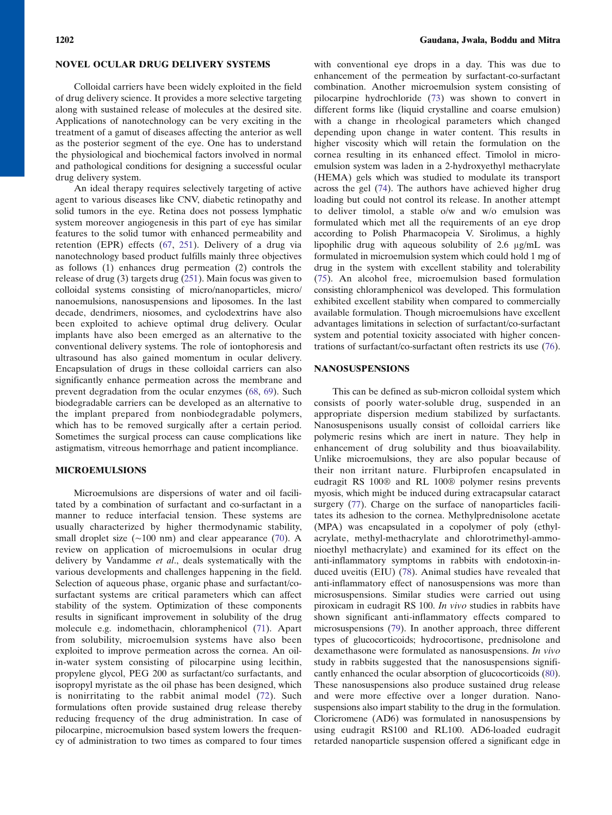#### NOVEL OCULAR DRUG DELIVERY SYSTEMS

Colloidal carriers have been widely exploited in the field of drug delivery science. It provides a more selective targeting along with sustained release of molecules at the desired site. Applications of nanotechnology can be very exciting in the treatment of a gamut of diseases affecting the anterior as well as the posterior segment of the eye. One has to understand the physiological and biochemical factors involved in normal and pathological conditions for designing a successful ocular drug delivery system.

An ideal therapy requires selectively targeting of active agent to various diseases like CNV, diabetic retinopathy and solid tumors in the eye. Retina does not possess lymphatic system moreover angiogenesis in this part of eye has similar features to the solid tumor with enhanced permeability and retention (EPR) effects (67, 251). Delivery of a drug via nanotechnology based product fulfills mainly three objectives as follows (1) enhances drug permeation (2) controls the release of drug (3) targets drug (251). Main focus was given to colloidal systems consisting of micro/nanoparticles, micro/ nanoemulsions, nanosuspensions and liposomes. In the last decade, dendrimers, niosomes, and cyclodextrins have also been exploited to achieve optimal drug delivery. Ocular implants have also been emerged as an alternative to the conventional delivery systems. The role of iontophoresis and ultrasound has also gained momentum in ocular delivery. Encapsulation of drugs in these colloidal carriers can also significantly enhance permeation across the membrane and prevent degradation from the ocular enzymes (68, 69). Such biodegradable carriers can be developed as an alternative to the implant prepared from nonbiodegradable polymers, which has to be removed surgically after a certain period. Sometimes the surgical process can cause complications like astigmatism, vitreous hemorrhage and patient incompliance.

## MICROEMULSIONS

Microemulsions are dispersions of water and oil facilitated by a combination of surfactant and co-surfactant in a manner to reduce interfacial tension. These systems are usually characterized by higher thermodynamic stability, small droplet size (∼100 nm) and clear appearance (70). A review on application of microemulsions in ocular drug delivery by Vandamme et al., deals systematically with the various developments and challenges happening in the field. Selection of aqueous phase, organic phase and surfactant/cosurfactant systems are critical parameters which can affect stability of the system. Optimization of these components results in significant improvement in solubility of the drug molecule e.g. indomethacin, chloramphenicol (71). Apart from solubility, microemulsion systems have also been exploited to improve permeation across the cornea. An oilin-water system consisting of pilocarpine using lecithin, propylene glycol, PEG 200 as surfactant/co surfactants, and isopropyl myristate as the oil phase has been designed, which is nonirritating to the rabbit animal model (72). Such formulations often provide sustained drug release thereby reducing frequency of the drug administration. In case of pilocarpine, microemulsion based system lowers the frequency of administration to two times as compared to four times

with conventional eye drops in a day. This was due to enhancement of the permeation by surfactant-co-surfactant combination. Another microemulsion system consisting of pilocarpine hydrochloride (73) was shown to convert in different forms like (liquid crystalline and coarse emulsion) with a change in rheological parameters which changed depending upon change in water content. This results in higher viscosity which will retain the formulation on the cornea resulting in its enhanced effect. Timolol in microemulsion system was laden in a 2-hydroxyethyl methacrylate (HEMA) gels which was studied to modulate its transport across the gel (74). The authors have achieved higher drug loading but could not control its release. In another attempt to deliver timolol, a stable o/w and w/o emulsion was formulated which met all the requirements of an eye drop according to Polish Pharmacopeia V. Sirolimus, a highly lipophilic drug with aqueous solubility of 2.6 μg/mL was formulated in microemulsion system which could hold 1 mg of drug in the system with excellent stability and tolerability (75). An alcohol free, microemulsion based formulation consisting chloramphenicol was developed. This formulation exhibited excellent stability when compared to commercially available formulation. Though microemulsions have excellent advantages limitations in selection of surfactant/co-surfactant system and potential toxicity associated with higher concentrations of surfactant/co-surfactant often restricts its use (76).

## NANOSUSPENSIONS

This can be defined as sub-micron colloidal system which consists of poorly water-soluble drug, suspended in an appropriate dispersion medium stabilized by surfactants. Nanosuspenisons usually consist of colloidal carriers like polymeric resins which are inert in nature. They help in enhancement of drug solubility and thus bioavailability. Unlike microemulsions, they are also popular because of their non irritant nature. Flurbiprofen encapsulated in eudragit RS 100® and RL 100® polymer resins prevents myosis, which might be induced during extracapsular cataract surgery (77). Charge on the surface of nanoparticles facilitates its adhesion to the cornea. Methylprednisolone acetate (MPA) was encapsulated in a copolymer of poly (ethylacrylate, methyl-methacrylate and chlorotrimethyl-ammonioethyl methacrylate) and examined for its effect on the anti-inflammatory symptoms in rabbits with endotoxin-induced uveitis (EIU) (78). Animal studies have revealed that anti-inflammatory effect of nanosuspensions was more than microsuspensions. Similar studies were carried out using piroxicam in eudragit RS 100. In vivo studies in rabbits have shown significant anti-inflammatory effects compared to microsuspensions (79). In another approach, three different types of glucocorticoids; hydrocortisone, prednisolone and dexamethasone were formulated as nanosuspensions. In vivo study in rabbits suggested that the nanosuspensions significantly enhanced the ocular absorption of glucocorticoids (80). These nanosuspensions also produce sustained drug release and were more effective over a longer duration. Nanosuspensions also impart stability to the drug in the formulation. Cloricromene (AD6) was formulated in nanosuspensions by using eudragit RS100 and RL100. AD6-loaded eudragit retarded nanoparticle suspension offered a significant edge in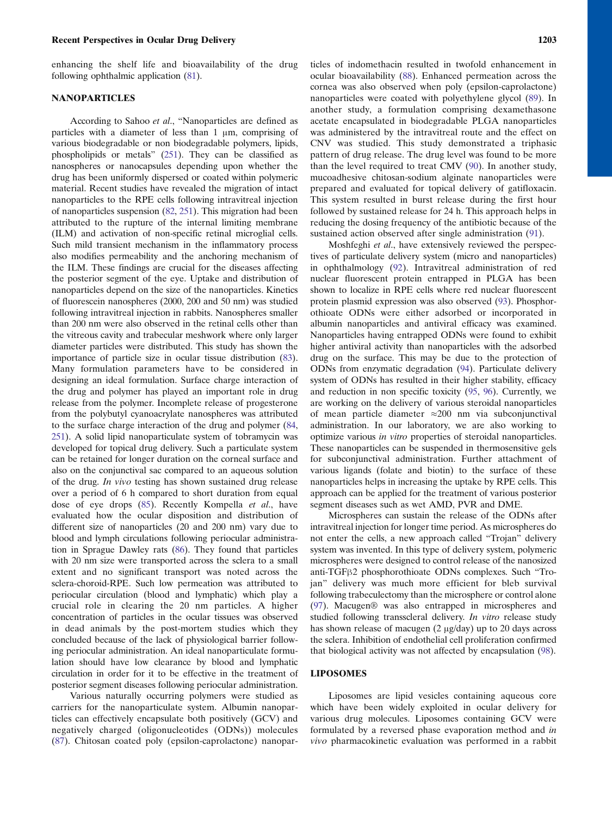enhancing the shelf life and bioavailability of the drug following ophthalmic application (81).

## NANOPARTICLES

According to Sahoo et al., "Nanoparticles are defined as particles with a diameter of less than 1 μm, comprising of various biodegradable or non biodegradable polymers, lipids, phospholipids or metals" (251). They can be classified as nanospheres or nanocapsules depending upon whether the drug has been uniformly dispersed or coated within polymeric material. Recent studies have revealed the migration of intact nanoparticles to the RPE cells following intravitreal injection of nanoparticles suspension (82, 251). This migration had been attributed to the rupture of the internal limiting membrane (ILM) and activation of non-specific retinal microglial cells. Such mild transient mechanism in the inflammatory process also modifies permeability and the anchoring mechanism of the ILM. These findings are crucial for the diseases affecting the posterior segment of the eye. Uptake and distribution of nanoparticles depend on the size of the nanoparticles. Kinetics of fluorescein nanospheres (2000, 200 and 50 nm) was studied following intravitreal injection in rabbits. Nanospheres smaller than 200 nm were also observed in the retinal cells other than the vitreous cavity and trabecular meshwork where only larger diameter particles were distributed. This study has shown the importance of particle size in ocular tissue distribution (83). Many formulation parameters have to be considered in designing an ideal formulation. Surface charge interaction of the drug and polymer has played an important role in drug release from the polymer. Incomplete release of progesterone from the polybutyl cyanoacrylate nanospheres was attributed to the surface charge interaction of the drug and polymer (84, 251). A solid lipid nanoparticulate system of tobramycin was developed for topical drug delivery. Such a particulate system can be retained for longer duration on the corneal surface and also on the conjunctival sac compared to an aqueous solution of the drug. In vivo testing has shown sustained drug release over a period of 6 h compared to short duration from equal dose of eye drops (85). Recently Kompella et al., have evaluated how the ocular disposition and distribution of different size of nanoparticles (20 and 200 nm) vary due to blood and lymph circulations following periocular administration in Sprague Dawley rats (86). They found that particles with 20 nm size were transported across the sclera to a small extent and no significant transport was noted across the sclera-choroid-RPE. Such low permeation was attributed to periocular circulation (blood and lymphatic) which play a crucial role in clearing the 20 nm particles. A higher concentration of particles in the ocular tissues was observed in dead animals by the post-mortem studies which they concluded because of the lack of physiological barrier following periocular administration. An ideal nanoparticulate formulation should have low clearance by blood and lymphatic circulation in order for it to be effective in the treatment of posterior segment diseases following periocular administration.

Various naturally occurring polymers were studied as carriers for the nanoparticulate system. Albumin nanoparticles can effectively encapsulate both positively (GCV) and negatively charged (oligonucleotides (ODNs)) molecules (87). Chitosan coated poly (epsilon-caprolactone) nanoparticles of indomethacin resulted in twofold enhancement in ocular bioavailability (88). Enhanced permeation across the cornea was also observed when poly (epsilon-caprolactone) nanoparticles were coated with polyethylene glycol (89). In another study, a formulation comprising dexamethasone acetate encapsulated in biodegradable PLGA nanoparticles was administered by the intravitreal route and the effect on CNV was studied. This study demonstrated a triphasic pattern of drug release. The drug level was found to be more than the level required to treat CMV (90). In another study, mucoadhesive chitosan-sodium alginate nanoparticles were prepared and evaluated for topical delivery of gatifloxacin. This system resulted in burst release during the first hour followed by sustained release for 24 h. This approach helps in reducing the dosing frequency of the antibiotic because of the sustained action observed after single administration (91).

Moshfeghi *et al.*, have extensively reviewed the perspectives of particulate delivery system (micro and nanoparticles) in ophthalmology (92). Intravitreal administration of red nuclear fluorescent protein entrapped in PLGA has been shown to localize in RPE cells where red nuclear fluorescent protein plasmid expression was also observed (93). Phosphorothioate ODNs were either adsorbed or incorporated in albumin nanoparticles and antiviral efficacy was examined. Nanoparticles having entrapped ODNs were found to exhibit higher antiviral activity than nanoparticles with the adsorbed drug on the surface. This may be due to the protection of ODNs from enzymatic degradation (94). Particulate delivery system of ODNs has resulted in their higher stability, efficacy and reduction in non specific toxicity (95, 96). Currently, we are working on the delivery of various steroidal nanoparticles of mean particle diameter ≈200 nm via subconjunctival administration. In our laboratory, we are also working to optimize various in vitro properties of steroidal nanoparticles. These nanoparticles can be suspended in thermosensitive gels for subconjunctival administration. Further attachment of various ligands (folate and biotin) to the surface of these nanoparticles helps in increasing the uptake by RPE cells. This approach can be applied for the treatment of various posterior segment diseases such as wet AMD, PVR and DME.

Microspheres can sustain the release of the ODNs after intravitreal injection for longer time period. As microspheres do not enter the cells, a new approach called "Trojan" delivery system was invented. In this type of delivery system, polymeric microspheres were designed to control release of the nanosized anti-TGFβ2 phosphorothioate ODNs complexes. Such "Trojan" delivery was much more efficient for bleb survival following trabeculectomy than the microsphere or control alone (97). Macugen® was also entrapped in microspheres and studied following transscleral delivery. In vitro release study has shown release of macugen (2 μg/day) up to 20 days across the sclera. Inhibition of endothelial cell proliferation confirmed that biological activity was not affected by encapsulation (98).

## LIPOSOMES

Liposomes are lipid vesicles containing aqueous core which have been widely exploited in ocular delivery for various drug molecules. Liposomes containing GCV were formulated by a reversed phase evaporation method and in vivo pharmacokinetic evaluation was performed in a rabbit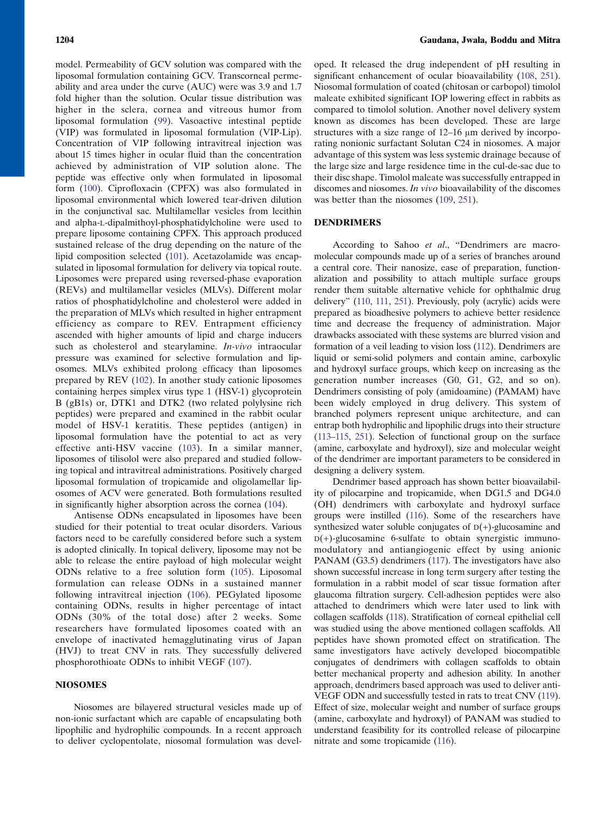model. Permeability of GCV solution was compared with the liposomal formulation containing GCV. Transcorneal permeability and area under the curve (AUC) were was 3.9 and 1.7 fold higher than the solution. Ocular tissue distribution was higher in the sclera, cornea and vitreous humor from liposomal formulation (99). Vasoactive intestinal peptide (VIP) was formulated in liposomal formulation (VIP-Lip). Concentration of VIP following intravitreal injection was about 15 times higher in ocular fluid than the concentration achieved by administration of VIP solution alone. The peptide was effective only when formulated in liposomal form (100). Ciprofloxacin (CPFX) was also formulated in liposomal environmental which lowered tear-driven dilution in the conjunctival sac. Multilamellar vesicles from lecithin and alpha-L-dipalmithoyl-phosphatidylcholine were used to prepare liposome containing CPFX. This approach produced sustained release of the drug depending on the nature of the lipid composition selected (101). Acetazolamide was encapsulated in liposomal formulation for delivery via topical route. Liposomes were prepared using reversed-phase evaporation (REVs) and multilamellar vesicles (MLVs). Different molar ratios of phosphatidylcholine and cholesterol were added in the preparation of MLVs which resulted in higher entrapment efficiency as compare to REV. Entrapment efficiency ascended with higher amounts of lipid and charge inducers such as cholesterol and stearylamine. *In-vivo* intraocular pressure was examined for selective formulation and liposomes. MLVs exhibited prolong efficacy than liposomes prepared by REV (102). In another study cationic liposomes containing herpes simplex virus type 1 (HSV-1) glycoprotein B (gB1s) or, DTK1 and DTK2 (two related polylysine rich peptides) were prepared and examined in the rabbit ocular model of HSV-1 keratitis. These peptides (antigen) in liposomal formulation have the potential to act as very effective anti-HSV vaccine (103). In a similar manner, liposomes of tilisolol were also prepared and studied following topical and intravitreal administrations. Positively charged liposomal formulation of tropicamide and oligolamellar liposomes of ACV were generated. Both formulations resulted in significantly higher absorption across the cornea (104).

Antisense ODNs encapsulated in liposomes have been studied for their potential to treat ocular disorders. Various factors need to be carefully considered before such a system is adopted clinically. In topical delivery, liposome may not be able to release the entire payload of high molecular weight ODNs relative to a free solution form (105). Liposomal formulation can release ODNs in a sustained manner following intravitreal injection (106). PEGylated liposome containing ODNs, results in higher percentage of intact ODNs (30% of the total dose) after 2 weeks. Some researchers have formulated liposomes coated with an envelope of inactivated hemagglutinating virus of Japan (HVJ) to treat CNV in rats. They successfully delivered phosphorothioate ODNs to inhibit VEGF (107).

## NIOSOMES

Niosomes are bilayered structural vesicles made up of non-ionic surfactant which are capable of encapsulating both lipophilic and hydrophilic compounds. In a recent approach to deliver cyclopentolate, niosomal formulation was developed. It released the drug independent of pH resulting in significant enhancement of ocular bioavailability (108, 251). Niosomal formulation of coated (chitosan or carbopol) timolol maleate exhibited significant IOP lowering effect in rabbits as compared to timolol solution. Another novel delivery system known as discomes has been developed. These are large structures with a size range of 12–16 μm derived by incorporating nonionic surfactant Solutan C24 in niosomes. A major advantage of this system was less systemic drainage because of the large size and large residence time in the cul-de-sac due to their disc shape. Timolol maleate was successfully entrapped in discomes and niosomes. In vivo bioavailability of the discomes was better than the niosomes (109, 251).

#### DENDRIMERS

According to Sahoo et al., "Dendrimers are macromolecular compounds made up of a series of branches around a central core. Their nanosize, ease of preparation, functionalization and possibility to attach multiple surface groups render them suitable alternative vehicle for ophthalmic drug delivery" (110, 111, 251). Previously, poly (acrylic) acids were prepared as bioadhesive polymers to achieve better residence time and decrease the frequency of administration. Major drawbacks associated with these systems are blurred vision and formation of a veil leading to vision loss (112). Dendrimers are liquid or semi-solid polymers and contain amine, carboxylic and hydroxyl surface groups, which keep on increasing as the generation number increases (G0, G1, G2, and so on). Dendrimers consisting of poly (amidoamine) (PAMAM) have been widely employed in drug delivery. This system of branched polymers represent unique architecture, and can entrap both hydrophilic and lipophilic drugs into their structure (113–115, 251). Selection of functional group on the surface (amine, carboxylate and hydroxyl), size and molecular weight of the dendrimer are important parameters to be considered in designing a delivery system.

Dendrimer based approach has shown better bioavailability of pilocarpine and tropicamide, when DG1.5 and DG4.0 (OH) dendrimers with carboxylate and hydroxyl surface groups were instilled (116). Some of the researchers have synthesized water soluble conjugates of  $D(+)$ -glucosamine and  $D(+)$ -glucosamine 6-sulfate to obtain synergistic immunomodulatory and antiangiogenic effect by using anionic PANAM (G3.5) dendrimers (117). The investigators have also shown successful increase in long term surgery after testing the formulation in a rabbit model of scar tissue formation after glaucoma filtration surgery. Cell-adhesion peptides were also attached to dendrimers which were later used to link with collagen scaffolds (118). Stratification of corneal epithelial cell was studied using the above mentioned collagen scaffolds. All peptides have shown promoted effect on stratification. The same investigators have actively developed biocompatible conjugates of dendrimers with collagen scaffolds to obtain better mechanical property and adhesion ability. In another approach, dendrimers based approach was used to deliver anti-VEGF ODN and successfully tested in rats to treat CNV (119). Effect of size, molecular weight and number of surface groups (amine, carboxylate and hydroxyl) of PANAM was studied to understand feasibility for its controlled release of pilocarpine nitrate and some tropicamide (116).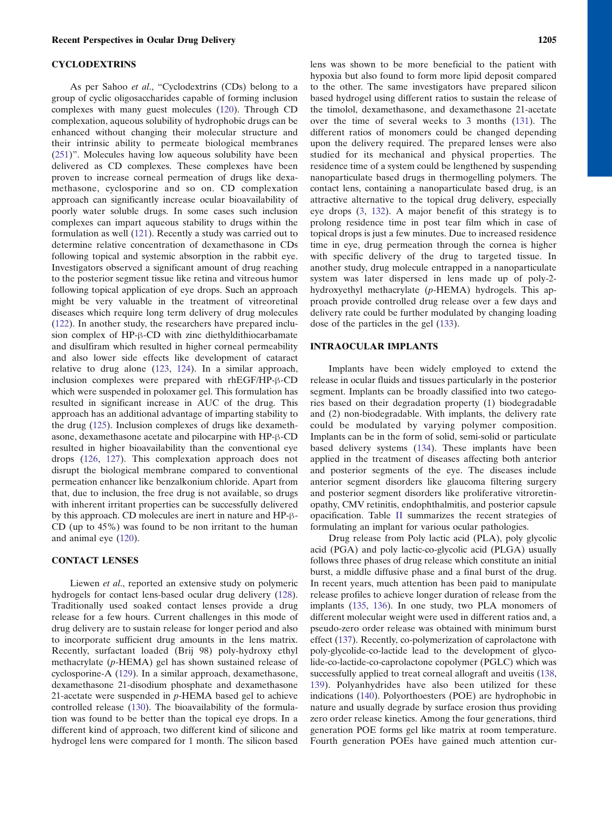#### CYCLODEXTRINS

As per Sahoo et al., "Cyclodextrins (CDs) belong to a group of cyclic oligosaccharides capable of forming inclusion complexes with many guest molecules (120). Through CD complexation, aqueous solubility of hydrophobic drugs can be enhanced without changing their molecular structure and their intrinsic ability to permeate biological membranes (251)". Molecules having low aqueous solubility have been delivered as CD complexes. These complexes have been proven to increase corneal permeation of drugs like dexamethasone, cyclosporine and so on. CD complexation approach can significantly increase ocular bioavailability of poorly water soluble drugs. In some cases such inclusion complexes can impart aqueous stability to drugs within the formulation as well (121). Recently a study was carried out to determine relative concentration of dexamethasone in CDs following topical and systemic absorption in the rabbit eye. Investigators observed a significant amount of drug reaching to the posterior segment tissue like retina and vitreous humor following topical application of eye drops. Such an approach might be very valuable in the treatment of vitreoretinal diseases which require long term delivery of drug molecules (122). In another study, the researchers have prepared inclusion complex of HP-β-CD with zinc diethyldithiocarbamate and disulfiram which resulted in higher corneal permeability and also lower side effects like development of cataract relative to drug alone (123, 124). In a similar approach, inclusion complexes were prepared with rhEGF/HP-β-CD which were suspended in poloxamer gel. This formulation has resulted in significant increase in AUC of the drug. This approach has an additional advantage of imparting stability to the drug (125). Inclusion complexes of drugs like dexamethasone, dexamethasone acetate and pilocarpine with HP-β-CD resulted in higher bioavailability than the conventional eye drops (126, 127). This complexation approach does not disrupt the biological membrane compared to conventional permeation enhancer like benzalkonium chloride. Apart from that, due to inclusion, the free drug is not available, so drugs with inherent irritant properties can be successfully delivered by this approach. CD molecules are inert in nature and HP-β-CD (up to 45%) was found to be non irritant to the human and animal eye (120).

## CONTACT LENSES

Liewen et al., reported an extensive study on polymeric hydrogels for contact lens-based ocular drug delivery (128). Traditionally used soaked contact lenses provide a drug release for a few hours. Current challenges in this mode of drug delivery are to sustain release for longer period and also to incorporate sufficient drug amounts in the lens matrix. Recently, surfactant loaded (Brij 98) poly-hydroxy ethyl methacrylate (p-HEMA) gel has shown sustained release of cyclosporine-A (129). In a similar approach, dexamethasone, dexamethasone 21-disodium phosphate and dexamethasone 21-acetate were suspended in  $p$ -HEMA based gel to achieve controlled release (130). The bioavailability of the formulation was found to be better than the topical eye drops. In a different kind of approach, two different kind of silicone and hydrogel lens were compared for 1 month. The silicon based

lens was shown to be more beneficial to the patient with hypoxia but also found to form more lipid deposit compared to the other. The same investigators have prepared silicon based hydrogel using different ratios to sustain the release of the timolol, dexamethasone, and dexamethasone 21-acetate over the time of several weeks to 3 months (131). The different ratios of monomers could be changed depending upon the delivery required. The prepared lenses were also studied for its mechanical and physical properties. The residence time of a system could be lengthened by suspending nanoparticulate based drugs in thermogelling polymers. The contact lens, containing a nanoparticulate based drug, is an attractive alternative to the topical drug delivery, especially eye drops (3, 132). A major benefit of this strategy is to prolong residence time in post tear film which in case of topical drops is just a few minutes. Due to increased residence time in eye, drug permeation through the cornea is higher with specific delivery of the drug to targeted tissue. In another study, drug molecule entrapped in a nanoparticulate system was later dispersed in lens made up of poly-2 hydroxyethyl methacrylate (p-HEMA) hydrogels. This approach provide controlled drug release over a few days and delivery rate could be further modulated by changing loading dose of the particles in the gel (133).

#### INTRAOCULAR IMPLANTS

Implants have been widely employed to extend the release in ocular fluids and tissues particularly in the posterior segment. Implants can be broadly classified into two categories based on their degradation property (1) biodegradable and (2) non-biodegradable. With implants, the delivery rate could be modulated by varying polymer composition. Implants can be in the form of solid, semi-solid or particulate based delivery systems (134). These implants have been applied in the treatment of diseases affecting both anterior and posterior segments of the eye. The diseases include anterior segment disorders like glaucoma filtering surgery and posterior segment disorders like proliferative vitroretinopathy, CMV retinitis, endophthalmitis, and posterior capsule opacification. Table II summarizes the recent strategies of formulating an implant for various ocular pathologies.

Drug release from Poly lactic acid (PLA), poly glycolic acid (PGA) and poly lactic-co-glycolic acid (PLGA) usually follows three phases of drug release which constitute an initial burst, a middle diffusive phase and a final burst of the drug. In recent years, much attention has been paid to manipulate release profiles to achieve longer duration of release from the implants (135, 136). In one study, two PLA monomers of different molecular weight were used in different ratios and, a pseudo-zero order release was obtained with minimum burst effect (137). Recently, co-polymerization of caprolactone with poly-glycolide-co-lactide lead to the development of glycolide-co-lactide-co-caprolactone copolymer (PGLC) which was successfully applied to treat corneal allograft and uveitis (138, 139). Polyanhydrides have also been utilized for these indications (140). Polyorthoesters (POE) are hydrophobic in nature and usually degrade by surface erosion thus providing zero order release kinetics. Among the four generations, third generation POE forms gel like matrix at room temperature. Fourth generation POEs have gained much attention cur-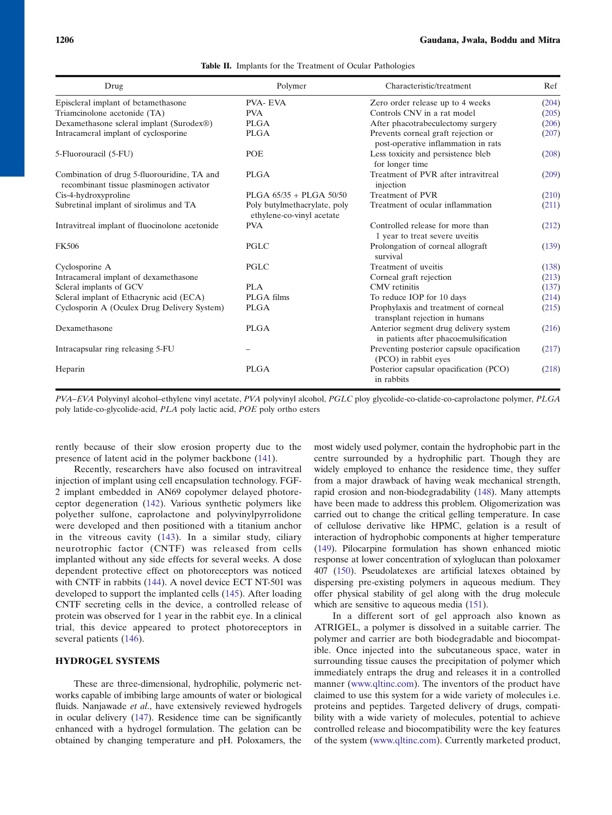| Drug                                                                                    | Polymer                                                   | Characteristic/treatment                                                       | Ref   |
|-----------------------------------------------------------------------------------------|-----------------------------------------------------------|--------------------------------------------------------------------------------|-------|
| Episcleral implant of betamethasone                                                     | <b>PVA-EVA</b>                                            | Zero order release up to 4 weeks                                               | (204) |
| Triamcinolone acetonide (TA)                                                            | <b>PVA</b>                                                | Controls CNV in a rat model                                                    | (205) |
| Dexamethasone scleral implant (Surodex®)                                                | <b>PLGA</b>                                               | After phacotrabeculectomy surgery                                              | (206) |
| Intracameral implant of cyclosporine                                                    | <b>PLGA</b>                                               | Prevents corneal graft rejection or<br>post-operative inflammation in rats     | (207) |
| 5-Fluorouracil (5-FU)                                                                   | POE                                                       | Less toxicity and persistence bleb<br>for longer time                          | (208) |
| Combination of drug 5-fluorouridine, TA and<br>recombinant tissue plasminogen activator | <b>PLGA</b>                                               | Treatment of PVR after intravitreal<br>injection                               | (209) |
| Cis-4-hydroxyproline                                                                    | PLGA 65/35 + PLGA 50/50                                   | Treatment of PVR                                                               | (210) |
| Subretinal implant of sirolimus and TA                                                  | Poly butylmethacrylate, poly<br>ethylene-co-vinyl acetate | Treatment of ocular inflammation                                               | (211) |
| Intravitreal implant of fluocinolone acetonide                                          | <b>PVA</b>                                                | Controlled release for more than<br>1 year to treat severe uveitis             | (212) |
| <b>FK506</b>                                                                            | PGLC                                                      | Prolongation of corneal allograft<br>survival                                  | (139) |
| Cyclosporine A                                                                          | <b>PGLC</b>                                               | Treatment of uveitis                                                           | (138) |
| Intracameral implant of dexamethasone                                                   |                                                           | Corneal graft rejection                                                        | (213) |
| Scleral implants of GCV                                                                 | PLA                                                       | CMV retinitis                                                                  | (137) |
| Scleral implant of Ethacrynic acid (ECA)                                                | PLGA films                                                | To reduce IOP for 10 days                                                      | (214) |
| Cyclosporin A (Oculex Drug Delivery System)                                             | <b>PLGA</b>                                               | Prophylaxis and treatment of corneal<br>transplant rejection in humans         | (215) |
| Dexamethasone                                                                           | <b>PLGA</b>                                               | Anterior segment drug delivery system<br>in patients after phacoemulsification | (216) |
| Intracapsular ring releasing 5-FU                                                       |                                                           | Preventing posterior capsule opacification<br>(PCO) in rabbit eyes             | (217) |
| Heparin                                                                                 | <b>PLGA</b>                                               | Posterior capsular opacification (PCO)<br>in rabbits                           | (218) |

Table II. Implants for the Treatment of Ocular Pathologies

PVA–EVA Polyvinyl alcohol–ethylene vinyl acetate, PVA polyvinyl alcohol, PGLC ploy glycolide-co-clatide-co-caprolactone polymer, PLGA poly latide-co-glycolide-acid, PLA poly lactic acid, POE poly ortho esters

rently because of their slow erosion property due to the presence of latent acid in the polymer backbone (141).

Recently, researchers have also focused on intravitreal injection of implant using cell encapsulation technology. FGF-2 implant embedded in AN69 copolymer delayed photoreceptor degeneration (142). Various synthetic polymers like polyether sulfone, caprolactone and polyvinylpyrrolidone were developed and then positioned with a titanium anchor in the vitreous cavity (143). In a similar study, ciliary neurotrophic factor (CNTF) was released from cells implanted without any side effects for several weeks. A dose dependent protective effect on photoreceptors was noticed with CNTF in rabbits (144). A novel device ECT NT-501 was developed to support the implanted cells (145). After loading CNTF secreting cells in the device, a controlled release of protein was observed for 1 year in the rabbit eye. In a clinical trial, this device appeared to protect photoreceptors in several patients (146).

## HYDROGEL SYSTEMS

These are three-dimensional, hydrophilic, polymeric networks capable of imbibing large amounts of water or biological fluids. Nanjawade et al., have extensively reviewed hydrogels in ocular delivery (147). Residence time can be significantly enhanced with a hydrogel formulation. The gelation can be obtained by changing temperature and pH. Poloxamers, the most widely used polymer, contain the hydrophobic part in the centre surrounded by a hydrophilic part. Though they are widely employed to enhance the residence time, they suffer from a major drawback of having weak mechanical strength, rapid erosion and non-biodegradability (148). Many attempts have been made to address this problem. Oligomerization was carried out to change the critical gelling temperature. In case of cellulose derivative like HPMC, gelation is a result of interaction of hydrophobic components at higher temperature (149). Pilocarpine formulation has shown enhanced miotic response at lower concentration of xyloglucan than poloxamer 407 (150). Pseudolatexes are artificial latexes obtained by dispersing pre-existing polymers in aqueous medium. They offer physical stability of gel along with the drug molecule which are sensitive to aqueous media  $(151)$ .

In a different sort of gel approach also known as ATRIGEL, a polymer is dissolved in a suitable carrier. The polymer and carrier are both biodegradable and biocompatible. Once injected into the subcutaneous space, water in surrounding tissue causes the precipitation of polymer which immediately entraps the drug and releases it in a controlled manner (www.qltinc.com). The inventors of the product have claimed to use this system for a wide variety of molecules i.e. proteins and peptides. Targeted delivery of drugs, compatibility with a wide variety of molecules, potential to achieve controlled release and biocompatibility were the key features of the system (www.qltinc.com). Currently marketed product,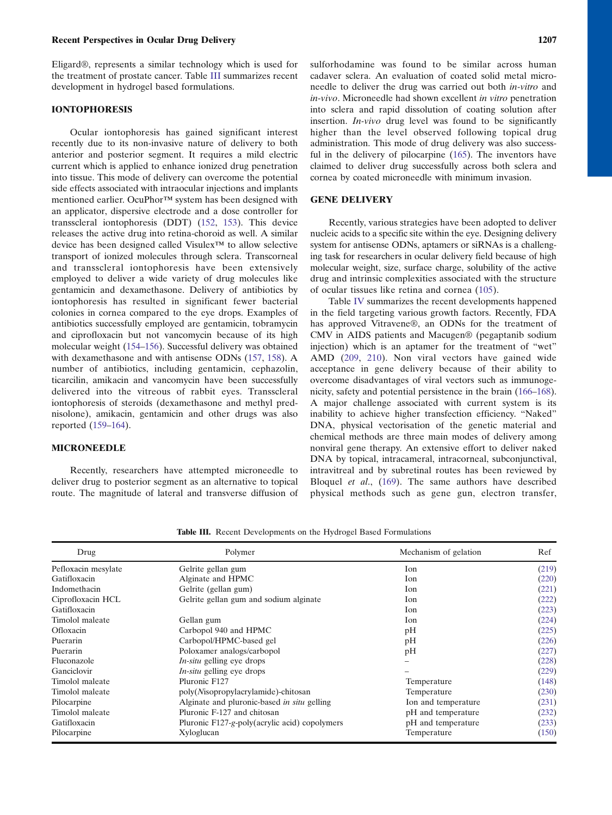#### Recent Perspectives in Ocular Drug Delivery 1207

Eligard®, represents a similar technology which is used for the treatment of prostate cancer. Table III summarizes recent development in hydrogel based formulations.

## IONTOPHORESIS

Ocular iontophoresis has gained significant interest recently due to its non-invasive nature of delivery to both anterior and posterior segment. It requires a mild electric current which is applied to enhance ionized drug penetration into tissue. This mode of delivery can overcome the potential side effects associated with intraocular injections and implants mentioned earlier. OcuPhor™ system has been designed with an applicator, dispersive electrode and a dose controller for transscleral iontophoresis (DDT) (152, 153). This device releases the active drug into retina-choroid as well. A similar device has been designed called Visulex™ to allow selective transport of ionized molecules through sclera. Transcorneal and transscleral iontophoresis have been extensively employed to deliver a wide variety of drug molecules like gentamicin and dexamethasone. Delivery of antibiotics by iontophoresis has resulted in significant fewer bacterial colonies in cornea compared to the eye drops. Examples of antibiotics successfully employed are gentamicin, tobramycin and ciprofloxacin but not vancomycin because of its high molecular weight (154–156). Successful delivery was obtained with dexamethasone and with antisense ODNs (157, 158). A number of antibiotics, including gentamicin, cephazolin, ticarcilin, amikacin and vancomycin have been successfully delivered into the vitreous of rabbit eyes. Transscleral iontophoresis of steroids (dexamethasone and methyl prednisolone), amikacin, gentamicin and other drugs was also reported (159–164).

## MICRONEEDLE

Recently, researchers have attempted microneedle to deliver drug to posterior segment as an alternative to topical route. The magnitude of lateral and transverse diffusion of sulforhodamine was found to be similar across human cadaver sclera. An evaluation of coated solid metal microneedle to deliver the drug was carried out both in-vitro and in-vivo. Microneedle had shown excellent in vitro penetration into sclera and rapid dissolution of coating solution after insertion. In-vivo drug level was found to be significantly higher than the level observed following topical drug administration. This mode of drug delivery was also successful in the delivery of pilocarpine (165). The inventors have claimed to deliver drug successfully across both sclera and cornea by coated microneedle with minimum invasion.

## GENE DELIVERY

Recently, various strategies have been adopted to deliver nucleic acids to a specific site within the eye. Designing delivery system for antisense ODNs, aptamers or siRNAs is a challenging task for researchers in ocular delivery field because of high molecular weight, size, surface charge, solubility of the active drug and intrinsic complexities associated with the structure of ocular tissues like retina and cornea (105).

Table IV summarizes the recent developments happened in the field targeting various growth factors. Recently, FDA has approved Vitravene®, an ODNs for the treatment of CMV in AIDS patients and Macugen® (pegaptanib sodium injection) which is an aptamer for the treatment of "wet" AMD (209, 210). Non viral vectors have gained wide acceptance in gene delivery because of their ability to overcome disadvantages of viral vectors such as immunogenicity, safety and potential persistence in the brain (166–168). A major challenge associated with current system is its inability to achieve higher transfection efficiency. "Naked" DNA, physical vectorisation of the genetic material and chemical methods are three main modes of delivery among nonviral gene therapy. An extensive effort to deliver naked DNA by topical, intracameral, intracorneal, subconjunctival, intravitreal and by subretinal routes has been reviewed by Bloquel et al., (169). The same authors have described physical methods such as gene gun, electron transfer,

| Drug                | Polymer                                         | Mechanism of gelation | Ref   |
|---------------------|-------------------------------------------------|-----------------------|-------|
| Pefloxacin mesylate | Gelrite gellan gum                              | Ion                   | (219) |
| Gatifloxacin        | Alginate and HPMC                               | Ion                   | (220) |
| Indomethacin        | Gelrite (gellan gum)                            | Ion                   | (221) |
| Ciprofloxacin HCL   | Gelrite gellan gum and sodium alginate          | Ion                   | (222) |
| Gatifloxacin        |                                                 | Ion                   | (223) |
| Timolol maleate     | Gellan gum                                      | Ion                   | (224) |
| Ofloxacin           | Carbopol 940 and HPMC                           | pH                    | (225) |
| Puerarin            | Carbopol/HPMC-based gel                         | pH                    | (226) |
| Puerarin            | Poloxamer analogs/carbopol                      | pH                    | (227) |
| Fluconazole         | <i>In-situ</i> gelling eye drops                |                       | (228) |
| Ganciclovir         | <i>In-situ</i> gelling eye drops                |                       | (229) |
| Timolol maleate     | Pluronic F127                                   | Temperature           | (148) |
| Timolol maleate     | poly(Nisopropylacrylamide)-chitosan             | Temperature           | (230) |
| Pilocarpine         | Alginate and pluronic-based in situ gelling     | Ion and temperature   | (231) |
| Timolol maleate     | Pluronic F-127 and chitosan                     | pH and temperature    | (232) |
| Gatifloxacin        | Pluronic $F127-g-poly(acrylic acid) copolymers$ | pH and temperature    | (233) |
| Pilocarpine         | Xyloglucan                                      | Temperature           | (150) |

Table III. Recent Developments on the Hydrogel Based Formulations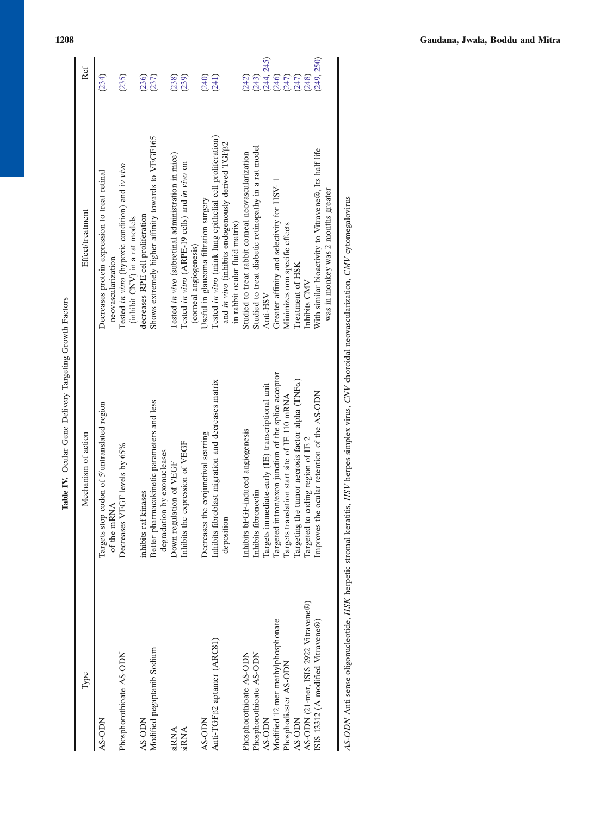| ļ<br>l                        |
|-------------------------------|
| J<br>ı<br>l<br>I              |
| ו<br>ו<br>ı                   |
| ı<br>$\frac{1}{2}$<br>í<br>l  |
| I<br>$\overline{\phantom{a}}$ |
| I                             |

| Type                                   | Mechanism of action                                                                                                                                | Effect/treatment                                                                            | Ref        |
|----------------------------------------|----------------------------------------------------------------------------------------------------------------------------------------------------|---------------------------------------------------------------------------------------------|------------|
| AS-ODN                                 | Targets stop codon of 5'untranslated region<br>of the mRNA                                                                                         | Decreases protein expression to treat retinal<br>neovascularization                         | (234)      |
| Phosphorothioate AS-ODN                | VEGF levels by 65%<br>Decreases \                                                                                                                  | Tested in vitro (hypoxic condition) and iv vivo<br>(inhibit CNV) in a rat models            | (235)      |
| AS-ODN                                 | inhibits raf kinases                                                                                                                               | decreases RPE cell proliferation                                                            | (236)      |
| Modified pegaptanib Sodium             | Better pharmacokinetic parameters and less<br>degradation by exonucleases                                                                          | Shows extremely higher affinity towards to VEGF165                                          | (237)      |
| <b>SIRNA</b>                           | Down regulation of VEGF                                                                                                                            | Tested in vivo (subretinal administration in mice)                                          | (238)      |
| <b>SIRNA</b>                           | expression of VEGF<br>Inhibits the                                                                                                                 | Tested in vitro (ARPE-19 cells) and in vivo on                                              | (239)      |
|                                        |                                                                                                                                                    | (corneal angiogenesis)                                                                      |            |
| AS-ODN                                 | Decreases the conjunctival scarring                                                                                                                | Useful in glaucoma filtration surgery                                                       | (240)      |
| Anti-TGF <sub>B2</sub> aptamer (ARC81) | Inhibits fibroblast migration and decreases matrix                                                                                                 | Tested in vitro (mink lung epithelial cell proliferation)                                   | (241)      |
|                                        | deposition                                                                                                                                         | and in vivo (inhibits endogenously derived TGFB2                                            |            |
|                                        |                                                                                                                                                    | in rabbit ocular fluid matrix)                                                              |            |
| Phosphorothioate AS-ODN                | Inhibits bFGF-induced angiogenesis                                                                                                                 | Studied to treat rabbit corneal neovascularization                                          | (242)      |
| Phosphorothioate AS-ODN                | Inhibits fibronectin                                                                                                                               | Studied to treat diabetic retinopathy in a rat model                                        | (243)      |
| AS-ODN                                 | Targets immediate-early (IE) transcriptional unit                                                                                                  | Anti-HSV                                                                                    | (244, 245) |
| Modified 12-mer methylphosphonate      | Targeted intron/exon junction of the splice acceptor                                                                                               | Greater affinity and selectivity for HSV-1                                                  | (246)      |
| Phosphodiester AS-ODN                  | Targets translation start site of IE 110 mRNA                                                                                                      | Minimizes non specific effects                                                              | (247)      |
| AS-ODN                                 | Targeting the tumor necrosis factor alpha (TNFa)                                                                                                   | Treatment of HSK                                                                            | (247)      |
| AS-ODN (21-mer, ISIS 2922 Vitravene®)  | Targeted to coding region of IE 2                                                                                                                  | Inhibits CMV                                                                                | (248)      |
| ISIS 13312 (A modified Vitravene®)     | ie ocular retention of the AS-ODN<br>Improves th                                                                                                   | With similar bioactivity to Vitravene®, Its half life<br>was in monkey was 2 months greater | (249, 250) |
|                                        | AS-ODN Anti sense oligonucleotide, HSK herpetic stromal keratitis, HSV herpes simplex virus, CNV choroidal neovascularization, CMV cytomegalovirus |                                                                                             |            |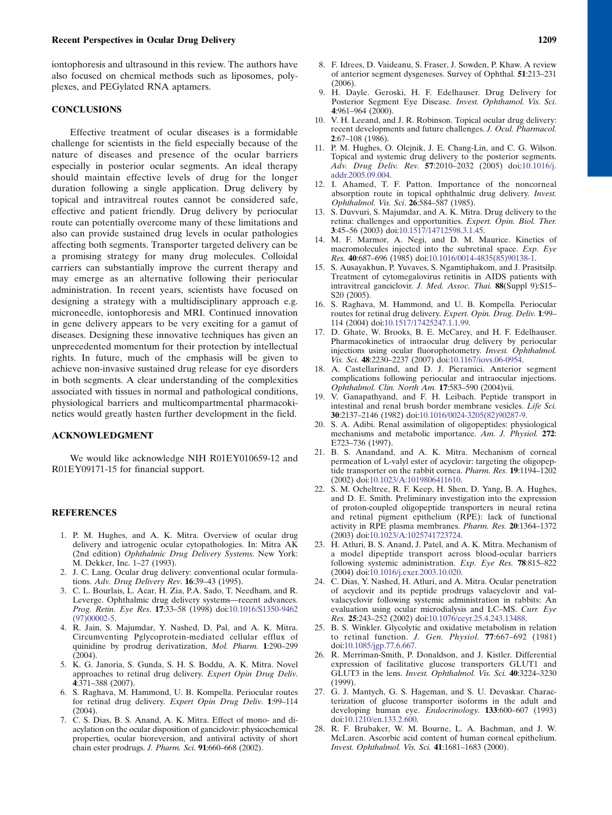#### Recent Perspectives in Ocular Drug Delivery 1209

iontophoresis and ultrasound in this review. The authors have also focused on chemical methods such as liposomes, polyplexes, and PEGylated RNA aptamers.

## **CONCLUSIONS**

Effective treatment of ocular diseases is a formidable challenge for scientists in the field especially because of the nature of diseases and presence of the ocular barriers especially in posterior ocular segments. An ideal therapy should maintain effective levels of drug for the longer duration following a single application. Drug delivery by topical and intravitreal routes cannot be considered safe, effective and patient friendly. Drug delivery by periocular route can potentially overcome many of these limitations and also can provide sustained drug levels in ocular pathologies affecting both segments. Transporter targeted delivery can be a promising strategy for many drug molecules. Colloidal carriers can substantially improve the current therapy and may emerge as an alternative following their periocular administration. In recent years, scientists have focused on designing a strategy with a multidisciplinary approach e.g. microneedle, iontophoresis and MRI. Continued innovation in gene delivery appears to be very exciting for a gamut of diseases. Designing these innovative techniques has given an unprecedented momentum for their protection by intellectual rights. In future, much of the emphasis will be given to achieve non-invasive sustained drug release for eye disorders in both segments. A clear understanding of the complexities associated with tissues in normal and pathological conditions, physiological barriers and multicompartmental pharmacokinetics would greatly hasten further development in the field.

## ACKNOWLEDGMENT

We would like acknowledge NIH R01EY010659-12 and R01EY09171-15 for financial support.

#### **REFERENCES**

- 1. P. M. Hughes, and A. K. Mitra. Overview of ocular drug delivery and iatrogenic ocular cytopathologies. In: Mitra AK (2nd edition) Ophthalmic Drug Delivery Systems. New York: M. Dekker, Inc. 1–27 (1993).
- 2. J. C. Lang. Ocular drug delivery: conventional ocular formulations. Adv. Drug Delivery Rev. 16:39–43 (1995).
- 3. C. L. Bourlais, L. Acar, H. Zia, P.A. Sado, T. Needham, and R. Leverge. Ophthalmic drug delivery systems—recent advances. Prog. Retin. Eye Res. 17:33–58 (1998) doi:10.1016/S1350-9462 (97)00002-5.
- 4. R. Jain, S. Majumdar, Y. Nashed, D. Pal, and A. K. Mitra. Circumventing Pglycoprotein-mediated cellular efflux of quinidine by prodrug derivatization, Mol. Pharm. 1:290–299 (2004).
- 5. K. G. Janoria, S. Gunda, S. H. S. Boddu, A. K. Mitra. Novel approaches to retinal drug delivery. Expert Opin Drug Deliv. 4:371–388 (2007).
- 6. S. Raghava, M. Hammond, U. B. Kompella. Periocular routes for retinal drug delivery. Expert Opin Drug Deliv. 1:99–114  $(2004)$
- 7. C. S. Dias, B. S. Anand, A. K. Mitra. Effect of mono- and diacylation on the ocular disposition of ganciclovir: physicochemical properties, ocular bioreversion, and antiviral activity of short chain ester prodrugs. J. Pharm. Sci. 91:660–668 (2002).
- 8. F. Idrees, D. Vaideanu, S. Fraser, J. Sowden, P. Khaw. A review of anterior segment dysgeneses. Survey of Ophthal. 51:213–231  $(2006)$ .
- 9. H. Dayle. Geroski, H. F. Edelhauser. Drug Delivery for Posterior Segment Eye Disease. Invest. Ophthamol. Vis. Sci. 4:961–964 (2000).
- 10. V. H. Leeand, and J. R. Robinson. Topical ocular drug delivery: recent developments and future challenges. J. Ocul. Pharmacol. 2:67–108 (1986).
- 11. P. M. Hughes, O. Olejnik, J. E. Chang-Lin, and C. G. Wilson. Topical and systemic drug delivery to the posterior segments. Adv. Drug Deliv. Rev. 57:2010–2032 (2005) doi:10.1016/j. addr.2005.09.004.
- 12. I. Ahamed, T. F. Patton. Importance of the noncorneal absorption route in topical ophthalmic drug delivery. Invest. Ophthalmol. Vis. Sci. 26:584–587 (1985).
- 13. S. Duvvuri, S. Majumdar, and A. K. Mitra. Drug delivery to the retina: challenges and opportunities. Expert. Opin. Biol. Ther. 3:45–56 (2003) doi:10.1517/14712598.3.1.45.
- 14. M. F. Marmor, A. Negi, and D. M. Maurice. Kinetics of macromolecules injected into the subretinal space. Exp. Eye Res. 40:687–696 (1985) doi:10.1016/0014-4835(85)90138-1.
- 15. S. Ausayakhun, P. Yuvaves, S. Ngamtiphakom, and J. Prasitsilp. Treatment of cytomegalovirus retinitis in AIDS patients with intravitreal ganciclovir. J. Med. Assoc. Thai. 88(Suppl 9):S15– S20 (2005).
- 16. S. Raghava, M. Hammond, and U. B. Kompella. Periocular routes for retinal drug delivery. Expert. Opin. Drug. Deliv. 1:99– 114 (2004) doi:10.1517/17425247.1.1.99.
- 17. D. Ghate, W. Brooks, B. E. McCarey, and H. F. Edelhauser. Pharmacokinetics of intraocular drug delivery by periocular injections using ocular fluorophotometry. Invest. Ophthalmol. Vis. Sci. 48:2230–2237 (2007) doi:10.1167/iovs.06-0954.
- 18. A. Castellarinand, and D. J. Pieramici. Anterior segment complications following periocular and intraocular injections. Ophthalmol. Clin. North Am. 17:583–590 (2004)vii.
- 19. V. Ganapathyand, and F. H. Leibach. Peptide transport in intestinal and renal brush border membrane vesicles. Life Sci. 30:2137–2146 (1982) doi:10.1016/0024-3205(82)90287-9.
- 20. S. A. Adibi. Renal assimilation of oligopeptides: physiological mechanisms and metabolic importance. Am. J. Physiol. 272: E723–736 (1997).
- 21. B. S. Anandand, and A. K. Mitra. Mechanism of corneal permeation of L-valyl ester of acyclovir: targeting the oligopeptide transporter on the rabbit cornea. Pharm. Res. 19:1194–1202 (2002) doi:10.1023/A:1019806411610.
- 22. S. M. Ocheltree, R. F. Keep, H. Shen, D. Yang, B. A. Hughes, and D. E. Smith. Preliminary investigation into the expression of proton-coupled oligopeptide transporters in neural retina and retinal pigment epithelium (RPE): lack of functional activity in RPE plasma membranes. Pharm. Res. 20:1364–1372 (2003) doi:10.1023/A:1025741723724.
- 23. H. Atluri, B. S. Anand, J. Patel, and A. K. Mitra. Mechanism of a model dipeptide transport across blood-ocular barriers following systemic administration. Exp. Eye Res. 78:815–822 (2004) doi:10.1016/j.exer.2003.10.020.
- 24. C. Dias, Y. Nashed, H. Atluri, and A. Mitra. Ocular penetration of acyclovir and its peptide prodrugs valacyclovir and valvalacyclovir following systemic administration in rabbits: An evaluation using ocular microdialysis and LC–MS. Curr. Eye Res. 25:243–252 (2002) doi:10.1076/ceyr.25.4.243.13488.
- 25. B. S. Winkler. Glycolytic and oxidative metabolism in relation to retinal function. J. Gen. Physiol. 77:667–692 (1981) doi:10.1085/jgp.77.6.667.
- 26. R. Merriman-Smith, P. Donaldson, and J. Kistler. Differential expression of facilitative glucose transporters GLUT1 and GLUT3 in the lens. Invest. Ophthalmol. Vis. Sci. 40:3224–3230 (1999).
- 27. G. J. Mantych, G. S. Hageman, and S. U. Devaskar. Characterization of glucose transporter isoforms in the adult and developing human eye. Endocrinology. 133:600–607 (1993) doi:10.1210/en.133.2.600.
- 28. R. F. Brubaker, W. M. Bourne, L. A. Bachman, and J. W. McLaren. Ascorbic acid content of human corneal epithelium. Invest. Ophthalmol. Vis. Sci. 41:1681–1683 (2000).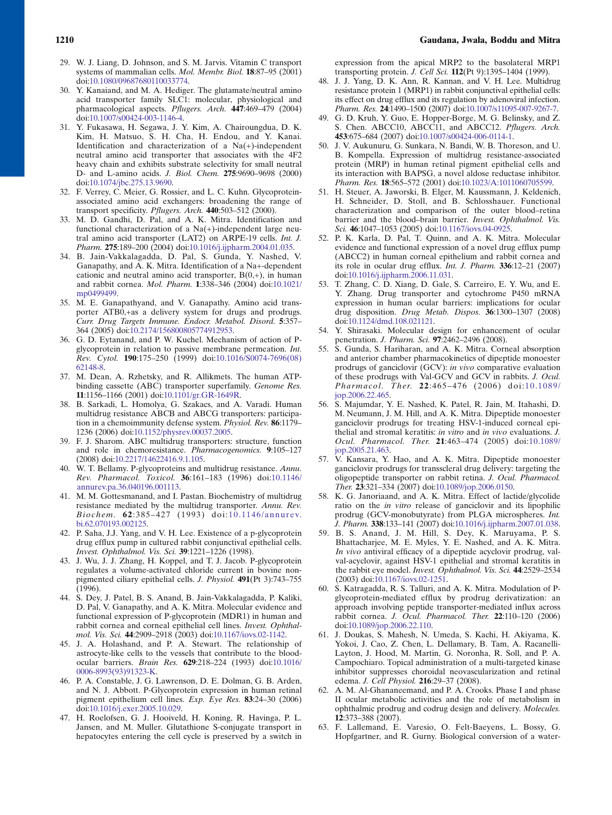- 29. W. J. Liang, D. Johnson, and S. M. Jarvis. Vitamin C transport systems of mammalian cells. Mol. Membr. Biol. 18:87–95 (2001) doi:10.1080/09687680110033774.
- 30. Y. Kanaiand, and M. A. Hediger. The glutamate/neutral amino acid transporter family SLC1: molecular, physiological and pharmacological aspects. Pflugers. Arch. 447:469–479 (2004) doi:10.1007/s00424-003-1146-4.
- 31. Y. Fukasawa, H. Segawa, J. Y. Kim, A. Chairoungdua, D. K. Kim, H. Matsuo, S. H. Cha, H. Endou, and Y. Kanai. Identification and characterization of a Na(+)-independent neutral amino acid transporter that associates with the 4F2 heavy chain and exhibits substrate selectivity for small neutral D- and L-amino acids. J. Biol. Chem. 275:9690–9698 (2000) doi:10.1074/jbc.275.13.9690.
- 32. F. Verrey, C. Meier, G. Rossier, and L. C. Kuhn. Glycoproteinassociated amino acid exchangers: broadening the range of transport specificity. Pflugers. Arch. 440:503–512 (2000).
- 33. M. D. Gandhi, D. Pal, and A. K. Mitra. Identification and functional characterization of a Na(+)-independent large neutral amino acid transporter (LAT2) on ARPE-19 cells. Int. J. Pharm. 275:189–200 (2004) doi:10.1016/j.ijpharm.2004.01.035.
- 34. B. Jain-Vakkalagadda, D. Pal, S. Gunda, Y. Nashed, V. Ganapathy, and A. K. Mitra. Identification of a Na+-dependent cationic and neutral amino acid transporter,  $B(0, +)$ , in human and rabbit cornea. Mol. Pharm. 1:338–346 (2004) doi:10.1021/ mp0499499.
- 35. M. E. Ganapathyand, and V. Ganapathy. Amino acid transporter ATB0,+as a delivery system for drugs and prodrugs. Curr. Drug Targets Immune. Endocr. Metabol. Disord. 5:357– 364 (2005) doi:10.2174/156800805774912953.
- 36. G. D. Eytanand, and P. W. Kuchel. Mechanism of action of Pglycoprotein in relation to passive membrane permeation. Int. Rev. Cytol. 190:175–250 (1999) doi:10.1016/S0074-7696(08) 62148-8.
- 37. M. Dean, A. Rzhetsky, and R. Allikmets. The human ATPbinding cassette (ABC) transporter superfamily. Genome Res. 11:1156–1166 (2001) doi:10.1101/gr.GR-1649R.
- 38. B. Sarkadi, L. Homolya, G. Szakacs, and A. Varadi. Human multidrug resistance ABCB and ABCG transporters: participation in a chemoimmunity defense system. Physiol. Rev. 86:1179– 1236 (2006) doi:10.1152/physrev.00037.2005.
- 39. F. J. Sharom. ABC multidrug transporters: structure, function and role in chemoresistance. Pharmacogenomics. 9:105–127 (2008) doi:10.2217/14622416.9.1.105.
- 40. W. T. Bellamy. P-glycoproteins and multidrug resistance. Annu. Rev. Pharmacol. Toxicol. 36:161–183 (1996) doi:10.1146/ annurev.pa.36.040196.001113.
- 41. M. M. Gottesmanand, and I. Pastan. Biochemistry of multidrug resistance mediated by the multidrug transporter. Annu. Rev. Biochem. 62:385-427 (1993) doi:10.1146/annurev. bi.62.070193.002125.
- 42. P. Saha, J.J. Yang, and V. H. Lee. Existence of a p-glycoprotein drug efflux pump in cultured rabbit conjunctival epithelial cells. Invest. Ophthalmol. Vis. Sci. 39:1221–1226 (1998).
- 43. J. Wu, J. J. Zhang, H. Koppel, and T. J. Jacob. P-glycoprotein regulates a volume-activated chloride current in bovine nonpigmented ciliary epithelial cells. J. Physiol. 491(Pt 3):743–755 (1996).
- 44. S. Dey, J. Patel, B. S. Anand, B. Jain-Vakkalagadda, P. Kaliki, D. Pal, V. Ganapathy, and A. K. Mitra. Molecular evidence and functional expression of P-glycoprotein (MDR1) in human and rabbit cornea and corneal epithelial cell lines. Invest. Ophthalmol. Vis. Sci. 44:2909–2918 (2003) doi:10.1167/iovs.02-1142.
- 45. J. A. Holashand, and P. A. Stewart. The relationship of astrocyte-like cells to the vessels that contribute to the bloodocular barriers. Brain Res. 629:218–224 (1993) doi:10.1016/ 0006-8993(93)91323-K.
- 46. P. A. Constable, J. G. Lawrenson, D. E. Dolman, G. B. Arden, and N. J. Abbott. P-Glycoprotein expression in human retinal pigment epithelium cell lines. Exp. Eye Res. 83:24–30 (2006) doi:10.1016/j.exer.2005.10.029.
- 47. H. Roelofsen, G. J. Hooiveld, H. Koning, R. Havinga, P. L. Jansen, and M. Muller. Glutathione S-conjugate transport in hepatocytes entering the cell cycle is preserved by a switch in

expression from the apical MRP2 to the basolateral MRP1 transporting protein. J. Cell Sci. 112(Pt 9):1395–1404 (1999).

- 48. J. J. Yang, D. K. Ann, R. Kannan, and V. H. Lee. Multidrug resistance protein 1 (MRP1) in rabbit conjunctival epithelial cells: its effect on drug efflux and its regulation by adenoviral infection. Pharm. Res. 24:1490–1500 (2007) doi:10.1007/s11095-007-9267-7.
- 49. G. D. Kruh, Y. Guo, E. Hopper-Borge, M. G. Belinsky, and Z. S. Chen. ABCC10, ABCC11, and ABCC12. Pflugers. Arch. 453:675–684 (2007) doi:10.1007/s00424-006-0114-1.
- 50. J. V. Aukunuru, G. Sunkara, N. Bandi, W. B. Thoreson, and U. B. Kompella. Expression of multidrug resistance-associated protein (MRP) in human retinal pigment epithelial cells and its interaction with BAPSG, a novel aldose reductase inhibitor. Pharm. Res. 18:565–572 (2001) doi:10.1023/A:1011060705599.
- 51. H. Steuer, A. Jaworski, B. Elger, M. Kaussmann, J. Keldenich, H. Schneider, D. Stoll, and B. Schlosshauer. Functional characterization and comparison of the outer blood–retina barrier and the blood–brain barrier. Invest. Ophthalmol. Vis. Sci. 46:1047–1053 (2005) doi:10.1167/iovs.04-0925.
- 52. P. K. Karla, D. Pal, T. Quinn, and A. K. Mitra. Molecular evidence and functional expression of a novel drug efflux pump (ABCC2) in human corneal epithelium and rabbit cornea and its role in ocular drug efflux. Int. J. Pharm. 336:12–21 (2007) doi:10.1016/j.ijpharm.2006.11.031.
- 53. T. Zhang, C. D. Xiang, D. Gale, S. Carreiro, E. Y. Wu, and E. Y. Zhang. Drug transporter and cytochrome P450 mRNA expression in human ocular barriers: implications for ocular drug disposition. Drug Metab. Dispos. 36:1300–1307 (2008) doi:10.1124/dmd.108.021121.
- 54. Y. Shirasaki. Molecular design for enhancement of ocular penetration. J. Pharm. Sci. 97:2462-2496 (2008).
- 55. S. Gunda, S. Hariharan, and A. K. Mitra. Corneal absorption and anterior chamber pharmacokinetics of dipeptide monoester prodrugs of ganciclovir (GCV): in vivo comparative evaluation of these prodrugs with Val-GCV and GCV in rabbits. J. Ocul. Pharmacol. Ther. 22:465-476 (2006) doi:10.1089/ jop.2006.22.465.
- 56. S. Majumdar, Y. E. Nashed, K. Patel, R. Jain, M. Itahashi, D. M. Neumann, J. M. Hill, and A. K. Mitra. Dipeptide monoester ganciclovir prodrugs for treating HSV-1-induced corneal epithelial and stromal keratitis: in vitro and in vivo evaluations. J. Ocul. Pharmacol. Ther. 21:463–474 (2005) doi:10.1089/ jop.2005.21.463.
- 57. V. Kansara, Y. Hao, and A. K. Mitra. Dipeptide monoester ganciclovir prodrugs for transscleral drug delivery: targeting the oligopeptide transporter on rabbit retina. J. Ocul. Pharmacol. Ther. 23:321–334 (2007) doi:10.1089/jop.2006.0150.
- 58. K. G. Janoriaand, and A. K. Mitra. Effect of lactide/glycolide ratio on the in vitro release of ganciclovir and its lipophilic prodrug (GCV-monobutyrate) from PLGA microspheres. Int. J. Pharm. 338:133–141 (2007) doi:10.1016/j.ijpharm.2007.01.038.
- 59. B. S. Anand, J. M. Hill, S. Dey, K. Maruyama, P. S. Bhattacharjee, M. E. Myles, Y. E. Nashed, and A. K. Mitra. In vivo antiviral efficacy of a dipeptide acyclovir prodrug, valval-acyclovir, against HSV-1 epithelial and stromal keratitis in the rabbit eye model. Invest. Ophthalmol. Vis. Sci. 44:2529–2534 (2003) doi:10.1167/iovs.02-1251.
- 60. S. Katragadda, R. S. Talluri, and A. K. Mitra. Modulation of Pglycoprotein-mediated efflux by prodrug derivatization: an approach involving peptide transporter-mediated influx across rabbit cornea. J. Ocul. Pharmacol. Ther. 22:110–120 (2006) doi:10.1089/jop.2006.22.110.
- 61. J. Doukas, S. Mahesh, N. Umeda, S. Kachi, H. Akiyama, K. Yokoi, J. Cao, Z. Chen, L. Dellamary, B. Tam, A. Racanelli-Layton, J. Hood, M. Martin, G. Noronha, R. Soll, and P. A. Campochiaro. Topical administration of a multi-targeted kinase inhibitor suppresses choroidal neovascularization and retinal edema. J. Cell Physiol. 216:29–37 (2008).
- 62. A. M. Al-Ghananeemand, and P. A. Crooks. Phase I and phase II ocular metabolic activities and the role of metabolism in ophthalmic prodrug and codrug design and delivery. Molecules. 12:373–388 (2007).
- 63. F. Lallemand, E. Varesio, O. Felt-Baeyens, L. Bossy, G. Hopfgartner, and R. Gurny. Biological conversion of a water-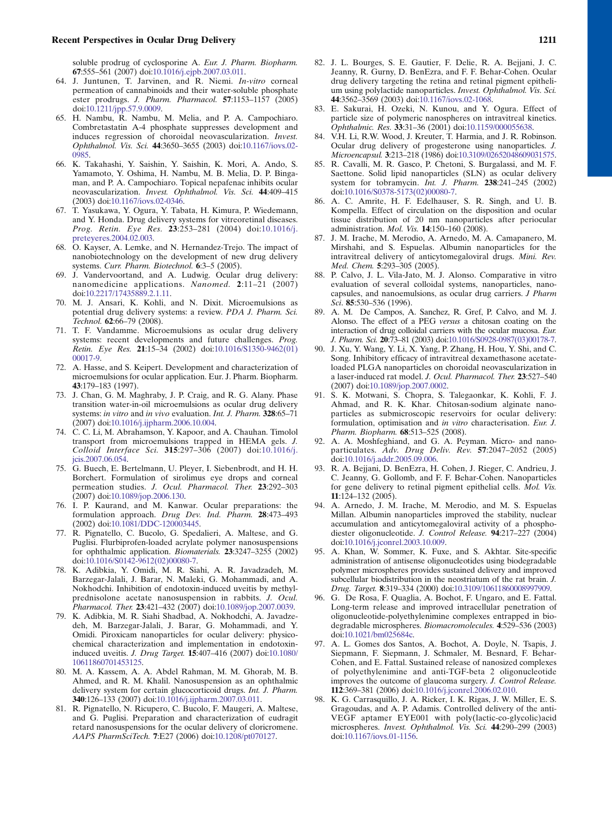soluble prodrug of cyclosporine A. Eur. J. Pharm. Biopharm. 67:555–561 (2007) doi:10.1016/j.ejpb.2007.03.011.

- 64. J. Juntunen, T. Jarvinen, and R. Niemi. In-vitro corneal permeation of cannabinoids and their water-soluble phosphate ester prodrugs. J. Pharm. Pharmacol. 57:1153–1157 (2005) doi:10.1211/jpp.57.9.0009.
- 65. H. Nambu, R. Nambu, M. Melia, and P. A. Campochiaro. Combretastatin A-4 phosphate suppresses development and induces regression of choroidal neovascularization. Invest. Ophthalmol. Vis. Sci. 44:3650–3655 (2003) doi:10.1167/iovs.02- 0985.
- 66. K. Takahashi, Y. Saishin, Y. Saishin, K. Mori, A. Ando, S. Yamamoto, Y. Oshima, H. Nambu, M. B. Melia, D. P. Bingaman, and P. A. Campochiaro. Topical nepafenac inhibits ocular neovascularization. Invest. Ophthalmol. Vis. Sci. 44:409–415 (2003) doi:10.1167/iovs.02-0346.
- 67. T. Yasukawa, Y. Ogura, Y. Tabata, H. Kimura, P. Wiedemann, and Y. Honda. Drug delivery systems for vitreoretinal diseases. Prog. Retin. Eye Res. 23:253–281 (2004) doi:10.1016/j. preteyeres.2004.02.003.
- 68. O. Kayser, A. Lemke, and N. Hernandez-Trejo. The impact of nanobiotechnology on the development of new drug delivery systems. Curr. Pharm. Biotechnol. 6:3–5 (2005).
- 69. J. Vandervoortand, and A. Ludwig. Ocular drug delivery: nanomedicine applications. Nanomed. 2:11–21 (2007) doi:10.2217/17435889.2.1.11.
- 70. M. J. Ansari, K. Kohli, and N. Dixit. Microemulsions as potential drug delivery systems: a review. PDA J. Pharm. Sci. .<br>Technol. **62**:66–79 (2008).
- 71. T. F. Vandamme. Microemulsions as ocular drug delivery systems: recent developments and future challenges. Prog. Retin. Eye Res. 21:15–34 (2002) doi:10.1016/S1350-9462(01) 00017-9.
- 72. A. Hasse, and S. Keipert. Development and characterization of microemulsions for ocular application. Eur. J. Pharm. Biopharm. 43:179–183 (1997).
- 73. J. Chan, G. M. Maghraby, J. P. Craig, and R. G. Alany. Phase transition water-in-oil microemulsions as ocular drug delivery systems: in vitro and in vivo evaluation. Int. J. Pharm. 328:65–71 (2007) doi:10.1016/j.ijpharm.2006.10.004.
- 74. C. C. Li, M. Abrahamson, Y. Kapoor, and A. Chauhan. Timolol transport from microemulsions trapped in HEMA gels. J. Colloid Interface Sci. 315:297–306 (2007) doi:10.1016/j. jcis.2007.06.054.
- 75. G. Buech, E. Bertelmann, U. Pleyer, I. Siebenbrodt, and H. H. Borchert. Formulation of sirolimus eye drops and corneal permeation studies. J. Ocul. Pharmacol. Ther. 23:292-303 (2007) doi:10.1089/jop.2006.130.
- 76. I. P. Kaurand, and M. Kanwar. Ocular preparations: the formulation approach. Drug Dev. Ind. Pharm. 28:473–493 (2002) doi:10.1081/DDC-120003445.
- 77. R. Pignatello, C. Bucolo, G. Spedalieri, A. Maltese, and G. Puglisi. Flurbiprofen-loaded acrylate polymer nanosuspensions for ophthalmic application. Biomaterials. 23:3247–3255 (2002) doi:10.1016/S0142-9612(02)00080-7.
- 78. K. Adibkia, Y. Omidi, M. R. Siahi, A. R. Javadzadeh, M. Barzegar-Jalali, J. Barar, N. Maleki, G. Mohammadi, and A. Nokhodchi. Inhibition of endotoxin-induced uveitis by methylprednisolone acetate nanosuspension in rabbits. J. Ocul. Pharmacol. Ther. 23:421–432 (2007) doi:10.1089/jop.2007.0039.
- 79. K. Adibkia, M. R. Siahi Shadbad, A. Nokhodchi, A. Javadzedeh, M. Barzegar-Jalali, J. Barar, G. Mohammadi, and Y. Omidi. Piroxicam nanoparticles for ocular delivery: physicochemical characterization and implementation in endotoxininduced uveitis. J. Drug Target. 15:407–416 (2007) doi:10.1080/ 10611860701453125.
- 80. M. A. Kassem, A. A. Abdel Rahman, M. M. Ghorab, M. B. Ahmed, and R. M. Khalil. Nanosuspension as an ophthalmic delivery system for certain glucocorticoid drugs. Int. J. Pharm. 340:126–133 (2007) doi:10.1016/j.ijpharm.2007.03.011.
- 81. R. Pignatello, N. Ricupero, C. Bucolo, F. Maugeri, A. Maltese, and G. Puglisi. Preparation and characterization of eudragit retard nanosuspensions for the ocular delivery of cloricromene. AAPS PharmSciTech. 7:E27 (2006) doi:10.1208/pt070127.
- 82. J. L. Bourges, S. E. Gautier, F. Delie, R. A. Bejjani, J. C. Jeanny, R. Gurny, D. BenEzra, and F. F. Behar-Cohen. Ocular drug delivery targeting the retina and retinal pigment epithelium using polylactide nanoparticles. Invest. Ophthalmol. Vis. Sci. 44:3562–3569 (2003) doi:10.1167/iovs.02-1068.
- 83. E. Sakurai, H. Ozeki, N. Kunou, and Y. Ogura. Effect of particle size of polymeric nanospheres on intravitreal kinetics. Ophthalmic. Res. 33:31–36 (2001) doi:10.1159/000055638.
- 84. V.H. Li, R.W. Wood, J. Kreuter, T. Harmia, and J. R. Robinson. Ocular drug delivery of progesterone using nanoparticles. J. Microencapsul. 3:213–218 (1986) doi:10.3109/02652048609031575.
- 85. R. Cavalli, M. R. Gasco, P. Chetoni, S. Burgalassi, and M. F. Saettone. Solid lipid nanoparticles (SLN) as ocular delivery system for tobramycin. Int. J. Pharm. 238:241–245 (2002) doi:10.1016/S0378-5173(02)00080-7.
- 86. A. C. Amrite, H. F. Edelhauser, S. R. Singh, and U. B. Kompella. Effect of circulation on the disposition and ocular tissue distribution of 20 nm nanoparticles after periocular administration. Mol. Vis. 14:150–160 (2008).
- 87. J. M. Irache, M. Merodio, A. Arnedo, M. A. Camapanero, M. Mirshahi, and S. Espuelas. Albumin nanoparticles for the intravitreal delivery of anticytomegaloviral drugs. Mini. Rev. Med. Chem. 5:293–305 (2005).
- 88. P. Calvo, J. L. Vila-Jato, M. J. Alonso. Comparative in vitro evaluation of several colloidal systems, nanoparticles, nanocapsules, and nanoemulsions, as ocular drug carriers. J Pharm Sci. 85:530–536 (1996).
- 89. A. M. De Campos, A. Sanchez, R. Gref, P. Calvo, and M. J. Alonso. The effect of a PEG versus a chitosan coating on the interaction of drug colloidal carriers with the ocular mucosa. Eur. J. Pharm. Sci. 20:73–81 (2003) doi:10.1016/S0928-0987(03)00178-7.
- 90. J. Xu, Y. Wang, Y. Li, X. Yang, P. Zhang, H. Hou, Y. Shi, and C. Song. Inhibitory efficacy of intravitreal dexamethasone acetateloaded PLGA nanoparticles on choroidal neovascularization in a laser-induced rat model. J. Ocul. Pharmacol. Ther. 23:527–540 (2007) doi:10.1089/jop.2007.0002.
- 91. S. K. Motwani, S. Chopra, S. Talegaonkar, K. Kohli, F. J. Ahmad, and R. K. Khar. Chitosan-sodium alginate nanoparticles as submicroscopic reservoirs for ocular delivery: formulation, optimisation and in vitro characterisation. Eur. J. Pharm. Biopharm. 68:513–525 (2008).
- 92. A. A. Moshfeghiand, and G. A. Peyman. Micro- and nanoparticulates. Adv. Drug Deliv. Rev. 57:2047-2052 (2005) doi:10.1016/j.addr.2005.09.006.
- 93. R. A. Bejjani, D. BenEzra, H. Cohen, J. Rieger, C. Andrieu, J. C. Jeanny, G. Gollomb, and F. F. Behar-Cohen. Nanoparticles for gene delivery to retinal pigment epithelial cells. Mol. Vis. 11:124–132 (2005).
- 94. A. Arnedo, J. M. Irache, M. Merodio, and M. S. Espuelas Millan. Albumin nanoparticles improved the stability, nuclear accumulation and anticytomegaloviral activity of a phosphodiester oligonucleotide. J. Control Release. 94:217–227 (2004) doi:10.1016/j.jconrel.2003.10.009.
- 95. A. Khan, W. Sommer, K. Fuxe, and S. Akhtar. Site-specific administration of antisense oligonucleotides using biodegradable polymer microspheres provides sustained delivery and improved subcellular biodistribution in the neostriatum of the rat brain. J. Drug. Target. 8:319–334 (2000) doi:10.3109/10611860008997909.
- 96. G. De Rosa, F. Quaglia, A. Bochot, F. Ungaro, and E. Fattal. Long-term release and improved intracellular penetration of oligonucleotide-polyethylenimine complexes entrapped in biodegradable microspheres. Biomacromolecules. 4:529–536 (2003) doi:10.1021/bm025684c.
- 97. A. L. Gomes dos Santos, A. Bochot, A. Doyle, N. Tsapis, J. Siepmann, F. Siepmann, J. Schmaler, M. Besnard, F. Behar-Cohen, and E. Fattal. Sustained release of nanosized complexes of polyethylenimine and anti-TGF-beta 2 oligonucleotide improves the outcome of glaucoma surgery. J. Control Release. 112:369–381 (2006) doi:10.1016/j.jconrel.2006.02.010.
- 98. K. G. Carrasquillo, J. A. Ricker, I. K. Rigas, J. W. Miller, E. S. Gragoudas, and A. P. Adamis. Controlled delivery of the anti-VEGF aptamer EYE001 with poly(lactic-co-glycolic)acid microspheres. Invest. Ophthalmol. Vis. Sci. 44:290–299 (2003) doi:10.1167/iovs.01-1156.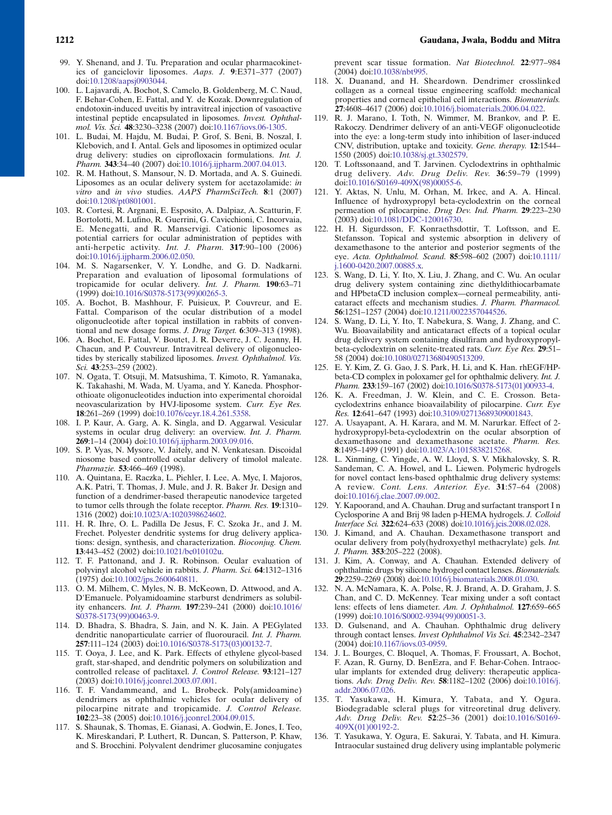- 99. Y. Shenand, and J. Tu. Preparation and ocular pharmacokinetics of ganciclovir liposomes. Aaps. J. 9:E371–377 (2007) doi:10.1208/aapsj0903044.
- 100. L. Lajavardi, A. Bochot, S. Camelo, B. Goldenberg, M. C. Naud, F. Behar-Cohen, E. Fattal, and Y. de Kozak. Downregulation of endotoxin-induced uveitis by intravitreal injection of vasoactive intestinal peptide encapsulated in liposomes. Invest. Ophthalmol. Vis. Sci. 48:3230–3238 (2007) doi:10.1167/iovs.06-1305.
- 101. L. Budai, M. Hajdu, M. Budai, P. Grof, S. Beni, B. Noszal, I. Klebovich, and I. Antal. Gels and liposomes in optimized ocular drug delivery: studies on ciprofloxacin formulations. Int. J. Pharm. 343:34–40 (2007) doi:10.1016/j.ijpharm.2007.04.013.
- 102. R. M. Hathout, S. Mansour, N. D. Mortada, and A. S. Guinedi. Liposomes as an ocular delivery system for acetazolamide: in vitro and in vivo studies. AAPS PharmSciTech. 8:1 (2007) doi:10.1208/pt0801001.
- 103. R. Cortesi, R. Argnani, E. Esposito, A. Dalpiaz, A. Scatturin, F. Bortolotti, M. Lufino, R. Guerrini, G. Cavicchioni, C. Incorvaia, E. Menegatti, and R. Manservigi. Cationic liposomes as potential carriers for ocular administration of peptides with anti-herpetic activity. Int. J. Pharm. 317:90–100 (2006) doi:10.1016/j.ijpharm.2006.02.050.
- 104. M. S. Nagarsenker, V. Y. Londhe, and G. D. Nadkarni. Preparation and evaluation of liposomal formulations of tropicamide for ocular delivery. Int. J. Pharm. 190:63–71 (1999) doi:10.1016/S0378-5173(99)00265-3.
- 105. A. Bochot, B. Mashhour, F. Puisieux, P. Couvreur, and E. Fattal. Comparison of the ocular distribution of a model oligonucleotide after topical instillation in rabbits of conventional and new dosage forms. J. Drug Target. 6:309-313 (1998).
- 106. A. Bochot, E. Fattal, V. Boutet, J. R. Deverre, J. C. Jeanny, H. Chacun, and P. Couvreur. Intravitreal delivery of oligonucleotides by sterically stabilized liposomes. Invest. Ophthalmol. Vis. Sci. 43:253–259 (2002).
- 107. N. Ogata, T. Otsuji, M. Matsushima, T. Kimoto, R. Yamanaka, K. Takahashi, M. Wada, M. Uyama, and Y. Kaneda. Phosphorothioate oligonucleotides induction into experimental choroidal neovascularization by HVJ-liposome system. Curr. Eye Res. 18:261–269 (1999) doi:10.1076/ceyr.18.4.261.5358.
- 108. I. P. Kaur, A. Garg, A. K. Singla, and D. Aggarwal. Vesicular systems in ocular drug delivery: an overview. Int. J. Pharm. 269:1–14 (2004) doi:10.1016/j.ijpharm.2003.09.016.
- 109. S. P. Vyas, N. Mysore, V. Jaitely, and N. Venkatesan. Discoidal niosome based controlled ocular delivery of timolol maleate. Pharmazie. 53:466–469 (1998).
- 110. A. Quintana, E. Raczka, L. Piehler, I. Lee, A. Myc, I. Majoros, A.K. Patri, T. Thomas, J. Mule, and J. R. Baker Jr. Design and function of a dendrimer-based therapeutic nanodevice targeted to tumor cells through the folate receptor. Pharm. Res. 19:1310– 1316 (2002) doi:10.1023/A:1020398624602.
- 111. H. R. Ihre, O. L. Padilla De Jesus, F. C. Szoka Jr., and J. M. Frechet. Polyester dendritic systems for drug delivery applications: design, synthesis, and characterization. Bioconjug. Chem. 13:443–452 (2002) doi:10.1021/bc010102u.
- 112. T. F. Pattonand, and J. R. Robinson. Ocular evaluation of polyvinyl alcohol vehicle in rabbits. J. Pharm. Sci. 64:1312–1316 (1975) doi:10.1002/jps.2600640811.
- 113. O. M. Milhem, C. Myles, N. B. McKeown, D. Attwood, and A. D'Emanuele. Polyamidoamine starburst dendrimers as solubility enhancers. Int. J. Pharm. 197:239–241 (2000) doi:10.1016/ S0378-5173(99)00463-9.
- 114. D. Bhadra, S. Bhadra, S. Jain, and N. K. Jain. A PEGylated dendritic nanoparticulate carrier of fluorouracil. Int. J. Pharm. 257:111–124 (2003) doi:10.1016/S0378-5173(03)00132-7.
- 115. T. Ooya, J. Lee, and K. Park. Effects of ethylene glycol-based graft, star-shaped, and dendritic polymers on solubilization and controlled release of paclitaxel. J. Control Release. 93:121–127 (2003) doi:10.1016/j.jconrel.2003.07.001.
- 116. T. F. Vandammeand, and L. Brobeck. Poly(amidoamine) dendrimers as ophthalmic vehicles for ocular delivery of pilocarpine nitrate and tropicamide. J. Control Release. 102:23–38 (2005) doi:10.1016/j.jconrel.2004.09.015.
- 117. S. Shaunak, S. Thomas, E. Gianasi, A. Godwin, E. Jones, I. Teo, K. Mireskandari, P. Luthert, R. Duncan, S. Patterson, P. Khaw, and S. Brocchini. Polyvalent dendrimer glucosamine conjugates

prevent scar tissue formation. Nat Biotechnol. 22:977–984 (2004) doi:10.1038/nbt995.

- 118. X. Duanand, and H. Sheardown. Dendrimer crosslinked collagen as a corneal tissue engineering scaffold: mechanical properties and corneal epithelial cell interactions. Biomaterials. 27:4608–4617 (2006) doi:10.1016/j.biomaterials.2006.04.022.
- 119. R. J. Marano, I. Toth, N. Wimmer, M. Brankov, and P. E. Rakoczy. Dendrimer delivery of an anti-VEGF oligonucleotide into the eye: a long-term study into inhibition of laser-induced CNV, distribution, uptake and toxicity. Gene. therapy. 12:1544– 1550 (2005) doi:10.1038/sj.gt.3302579.
- 120. T. Loftssonaand, and T. Jarvinen. Cyclodextrins in ophthalmic drug delivery. Adv. Drug Deliv. Rev. 36:59-79 (1999) doi:10.1016/S0169-409X(98)00055-6.
- 121. Y. Aktas, N. Unlu, M. Orhan, M. Irkec, and A. A. Hincal. Influence of hydroxypropyl beta-cyclodextrin on the corneal permeation of pilocarpine. Drug Dev. Ind. Pharm. 29:223–230 (2003) doi:10.1081/DDC-120016730.
- 122. H. H. Sigurdsson, F. Konraethsdottir, T. Loftsson, and E. Stefansson. Topical and systemic absorption in delivery of dexamethasone to the anterior and posterior segments of the eye. Acta. Ophthalmol. Scand. 85:598-602 (2007) doi:10.1111/ j.1600-0420.2007.00885.x.
- 123. S. Wang, D. Li, Y. Ito, X. Liu, J. Zhang, and C. Wu. An ocular drug delivery system containing zinc diethyldithiocarbamate and HPbetaCD inclusion complex—corneal permeability, anticataract effects and mechanism studies. J. Pharm. Pharmacol. 56:1251–1257 (2004) doi:10.1211/0022357044526.
- 124. S. Wang, D. Li, Y. Ito, T. Nabekura, S. Wang, J. Zhang, and C. Wu. Bioavailability and anticataract effects of a topical ocular drug delivery system containing disulfiram and hydroxypropylbeta-cyclodextrin on selenite-treated rats. Curr. Eye Res. 29:51– 58 (2004) doi:10.1080/02713680490513209.
- 125. E. Y. Kim, Z. G. Gao, J. S. Park, H. Li, and K. Han. rhEGF/HPbeta-CD complex in poloxamer gel for ophthalmic delivery. Int. J. Pharm. 233:159–167 (2002) doi:10.1016/S0378-5173(01)00933-4.
- 126. K. A. Freedman, J. W. Klein, and C. E. Crosson. Betacyclodextrins enhance bioavailability of pilocarpine. Curr. Eye Res. 12:641–647 (1993) doi:10.3109/02713689309001843.
- 127. A. Usayapant, A. H. Karara, and M. M. Narurkar. Effect of 2 hydroxypropyl-beta-cyclodextrin on the ocular absorption of dexamethasone and dexamethasone acetate. Pharm. Res. 8:1495–1499 (1991) doi:10.1023/A:1015838215268.
- 128. L. Xinming, C. Yingde, A. W. Lloyd, S. V. Mikhalovsky, S. R. Sandeman, C. A. Howel, and L. Liewen. Polymeric hydrogels for novel contact lens-based ophthalmic drug delivery systems: A review. Cont. Lens. Anterior. Eye. 31:57–64 (2008) doi:10.1016/j.clae.2007.09.002.
- 129. Y. Kapoorand, and A. Chauhan. Drug and surfactant transport I n Cyclosporine A and Brij 98 laden p-HEMA hydrogels. J. Colloid Interface Sci. 322:624–633 (2008) doi:10.1016/j.jcis.2008.02.028.
- 130. J. Kimand, and A. Chauhan. Dexamethasone transport and ocular delivery from poly(hydroxyethyl methacrylate) gels. Int. J. Pharm. 353:205–222 (2008).
- 131. J. Kim, A. Conway, and A. Chauhan. Extended delivery of ophthalmic drugs by silicone hydrogel contact lenses. Biomaterials. 29:2259–2269 (2008) doi:10.1016/j.biomaterials.2008.01.030.
- 132. N. A. McNamara, K. A. Polse, R. J. Brand, A. D. Graham, J. S. Chan, and C. D. McKenney. Tear mixing under a soft contact lens: effects of lens diameter. Am. J. Ophthalmol. 127:659-665 (1999) doi:10.1016/S0002-9394(99)00051-3.
- 133. D. Gulsenand, and A. Chauhan. Ophthalmic drug delivery through contact lenses. Invest Ophthalmol Vis Sci. 45:2342–2347 (2004) doi:10.1167/iovs.03-0959.
- 134. J. L. Bourges, C. Bloquel, A. Thomas, F. Froussart, A. Bochot, F. Azan, R. Gurny, D. BenEzra, and F. Behar-Cohen. Intraocular implants for extended drug delivery: therapeutic applications. Adv. Drug Deliv. Rev. 58:1182–1202 (2006) doi:10.1016/j. addr.2006.07.026.
- 135. T. Yasukawa, H. Kimura, Y. Tabata, and Y. Ogura. Biodegradable scleral plugs for vitreoretinal drug delivery. Adv. Drug Deliv. Rev. 52:25–36 (2001) doi:10.1016/S0169- 409X(01)00192-2.
- 136. T. Yasukawa, Y. Ogura, E. Sakurai, Y. Tabata, and H. Kimura. Intraocular sustained drug delivery using implantable polymeric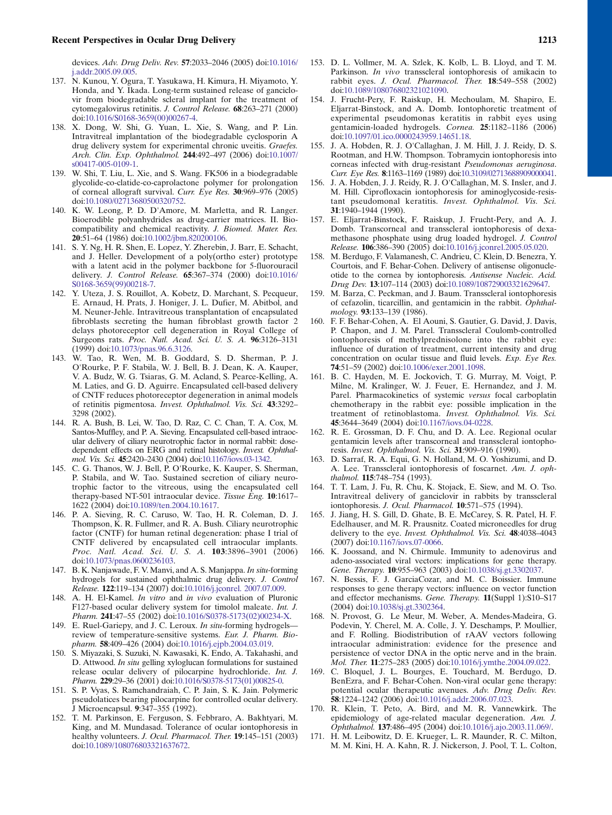devices. Adv. Drug Deliv. Rev. 57:2033–2046 (2005) doi:10.1016/ j.addr.2005.09.005.

- 137. N. Kunou, Y. Ogura, T. Yasukawa, H. Kimura, H. Miyamoto, Y. Honda, and Y. Ikada. Long-term sustained release of ganciclovir from biodegradable scleral implant for the treatment of cytomegalovirus retinitis. J. Control Release. 68:263–271 (2000) doi:10.1016/S0168-3659(00)00267-4.
- 138. X. Dong, W. Shi, G. Yuan, L. Xie, S. Wang, and P. Lin. Intravitreal implantation of the biodegradable cyclosporin A drug delivery system for experimental chronic uveitis. Graefes. Arch. Clin. Exp. Ophthalmol. 244:492–497 (2006) doi:10.1007/ s00417-005-0109-1.
- 139. W. Shi, T. Liu, L. Xie, and S. Wang. FK506 in a biodegradable glycolide-co-clatide-co-caprolactone polymer for prolongation of corneal allograft survival. Curr. Eye Res. 30:969–976 (2005) doi:10.1080/02713680500320752.
- 140. K. W. Leong, P. D. D'Amore, M. Marletta, and R. Langer. Bioerodible polyanhydrides as drug-carrier matrices. II. Biocompatibility and chemical reactivity. J. Biomed. Mater. Res. 20:51–64 (1986) doi:10.1002/jbm.820200106.
- 141. S. Y. Ng, H. R. Shen, E. Lopez, Y. Zherebin, J. Barr, E. Schacht, and J. Heller. Development of a poly(ortho ester) prototype with a latent acid in the polymer backbone for 5-fluorouracil delivery. J. Control Release. 65:367–374 (2000) doi:10.1016/ S0168-3659(99)00218-7.
- 142. Y. Uteza, J. S. Rouillot, A. Kobetz, D. Marchant, S. Pecqueur, E. Arnaud, H. Prats, J. Honiger, J. L. Dufier, M. Abitbol, and M. Neuner-Jehle. Intravitreous transplantation of encapsulated fibroblasts secreting the human fibroblast growth factor 2 delays photoreceptor cell degeneration in Royal College of Surgeons rats. Proc. Natl. Acad. Sci. U. S. A. 96:3126–3131 (1999) doi:10.1073/pnas.96.6.3126.
- 143. W. Tao, R. Wen, M. B. Goddard, S. D. Sherman, P. J. O'Rourke, P. F. Stabila, W. J. Bell, B. J. Dean, K. A. Kauper, V. A. Budz, W. G. Tsiaras, G. M. Acland, S. Pearce-Kelling, A. M. Laties, and G. D. Aguirre. Encapsulated cell-based delivery of CNTF reduces photoreceptor degeneration in animal models of retinitis pigmentosa. Invest. Ophthalmol. Vis. Sci. 43:3292– 3298 (2002).
- 144. R. A. Bush, B. Lei, W. Tao, D. Raz, C. C. Chan, T. A. Cox, M. Santos-Muffley, and P. A. Sieving. Encapsulated cell-based intraocular delivery of ciliary neurotrophic factor in normal rabbit: dosedependent effects on ERG and retinal histology. Invest. Ophthalmol. Vis. Sci. 45:2420–2430 (2004) doi:10.1167/iovs.03-1342.
- 145. C. G. Thanos, W. J. Bell, P. O'Rourke, K. Kauper, S. Sherman, P. Stabila, and W. Tao. Sustained secretion of ciliary neurotrophic factor to the vitreous, using the encapsulated cell therapy-based NT-501 intraocular device. Tissue Eng. 10:1617-1622 (2004) doi:10.1089/ten.2004.10.1617.
- 146. P. A. Sieving, R. C. Caruso, W. Tao, H. R. Coleman, D. J. Thompson, K. R. Fullmer, and R. A. Bush. Ciliary neurotrophic factor (CNTF) for human retinal degeneration: phase I trial of CNTF delivered by encapsulated cell intraocular implants. Proc. Natl. Acad. Sci. U. S. A. 103:3896–3901 (2006) doi:10.1073/pnas.0600236103.
- 147. B. K. Nanjawade, F. V. Manvi, and A. S. Manjappa. In situ-forming hydrogels for sustained ophthalmic drug delivery. J. Control Release. 122:119–134 (2007) doi:10.1016/j.jconrel. 2007.07.009.
- 148. A. H. El-Kamel. In vitro and in vivo evaluation of Pluronic F127-based ocular delivery system for timolol maleate. Int. J. Pharm. 241:47–55 (2002) doi:10.1016/S0378-5173(02)00234-X.
- 149. E. Ruel-Gariepy, and J. C. Leroux. In situ-forming hydrogels review of temperature-sensitive systems. Eur. J. Pharm. Biopharm. 58:409–426 (2004) doi:10.1016/j.ejpb.2004.03.019.
- 150. S. Miyazaki, S. Suzuki, N. Kawasaki, K. Endo, A. Takahashi, and D. Attwood. In situ gelling xyloglucan formulations for sustained release ocular delivery of pilocarpine hydrochloride. Int. J. Pharm. 229:29–36 (2001) doi:10.1016/S0378-5173(01)00825-0.
- 151. S. P. Vyas, S. Ramchandraiah, C. P. Jain, S. K. Jain. Polymeric pseudolatices bearing pilocarpine for controlled ocular delivery. J Microencapsul. 9:347–355 (1992).
- 152. T. M. Parkinson, E. Ferguson, S. Febbraro, A. Bakhtyari, M. King, and M. Mundasad. Tolerance of ocular iontophoresis in healthy volunteers. J. Ocul. Pharmacol. Ther. 19:145-151 (2003) doi:10.1089/108076803321637672.
- 153. D. L. Vollmer, M. A. Szlek, K. Kolb, L. B. Lloyd, and T. M. Parkinson. In vivo transscleral iontophoresis of amikacin to rabbit eyes. J. Ocul. Pharmacol. Ther. 18:549–558 (2002) doi:10.1089/108076802321021090.
- 154. J. Frucht-Pery, F. Raiskup, H. Mechoulam, M. Shapiro, E. Eljarrat-Binstock, and A. Domb. Iontophoretic treatment of experimental pseudomonas keratitis in rabbit eyes using gentamicin-loaded hydrogels. Cornea. 25:1182–1186 (2006) doi:10.1097/01.ico.0000243959.14651.18.
- 155. J. A. Hobden, R. J. O'Callaghan, J. M. Hill, J. J. Reidy, D. S. Rootman, and H.W. Thompson. Tobramycin iontophoresis into corneas infected with drug-resistant Pseudomonas aeruginosa. Curr. Eye Res. 8:1163–1169 (1989) doi:10.3109/02713688909000041.
- 156. J. A. Hobden, J. J. Reidy, R. J. O'Callaghan, M. S. Insler, and J. M. Hill. Ciprofloxacin iontophoresis for aminoglycoside-resistant pseudomonal keratitis. Invest. Ophthalmol. Vis. Sci. 31:1940–1944 (1990).
- 157. E. Eljarrat-Binstock, F. Raiskup, J. Frucht-Pery, and A. J. Domb. Transcorneal and transscleral iontophoresis of dexamethasone phosphate using drug loaded hydrogel. J. Control Release. 106:386–390 (2005) doi:10.1016/j.jconrel.2005.05.020.
- 158. M. Berdugo, F. Valamanesh, C. Andrieu, C. Klein, D. Benezra, Y. Courtois, and F. Behar-Cohen. Delivery of antisense oligonucleotide to the cornea by iontophoresis. Antisense Nucleic. Acid. Drug Dev. 13:107–114 (2003) doi:10.1089/108729003321629647.
- 159. M. Barza, C. Peckman, and J. Baum. Transscleral iontophoresis of cefazolin, ticarcillin, and gentamicin in the rabbit. Ophthalmology. 93:133–139 (1986).
- 160. F. F. Behar-Cohen, A. El Aouni, S. Gautier, G. David, J. Davis, P. Chapon, and J. M. Parel. Transscleral Coulomb-controlled iontophoresis of methylprednisolone into the rabbit eye: influence of duration of treatment, current intensity and drug concentration on ocular tissue and fluid levels. Exp. Eye Res. 74:51–59 (2002) doi:10.1006/exer.2001.1098.
- 161. B. C. Hayden, M. E. Jockovich, T. G. Murray, M. Voigt, P. Milne, M. Kralinger, W. J. Feuer, E. Hernandez, and J. M. Parel. Pharmacokinetics of systemic versus focal carboplatin chemotherapy in the rabbit eye: possible implication in the treatment of retinoblastoma. Invest. Ophthalmol. Vis. Sci. 45:3644–3649 (2004) doi:10.1167/iovs.04-0228.
- 162. R. E. Grossman, D. F. Chu, and D. A. Lee. Regional ocular gentamicin levels after transcorneal and transscleral iontophoresis. Invest. Ophthalmol. Vis. Sci. 31:909–916 (1990).
- 163. D. Sarraf, R. A. Equi, G. N. Holland, M. O. Yoshizumi, and D. A. Lee. Transscleral iontophoresis of foscarnet. Am. J. ophthalmol. 115:748-754 (1993).
- 164. T. T. Lam, J. Fu, R. Chu, K. Stojack, E. Siew, and M. O. Tso. Intravitreal delivery of ganciclovir in rabbits by transscleral iontophoresis. J. Ocul. Pharmacol. 10:571–575 (1994).
- 165. J. Jiang, H. S. Gill, D. Ghate, B. E. McCarey, S. R. Patel, H. F. Edelhauser, and M. R. Prausnitz. Coated microneedles for drug delivery to the eye. Invest. Ophthalmol. Vis. Sci. 48:4038–4043 (2007) doi:10.1167/iovs.07-0066.
- 166. K. Joossand, and N. Chirmule. Immunity to adenovirus and adeno-associated viral vectors: implications for gene therapy. Gene. Therapy. 10:955–963 (2003) doi:10.1038/sj.gt.3302037.
- 167. N. Bessis, F. J. GarciaCozar, and M. C. Boissier. Immune responses to gene therapy vectors: influence on vector function and effector mechanisms. Gene. Therapy. 11(Suppl 1):S10–S17 (2004) doi:10.1038/sj.gt.3302364.
- 168. N. Provost, G. Le Meur, M. Weber, A. Mendes-Madeira, G. Podevin, Y. Cherel, M. A. Colle, J. Y. Deschamps, P. Moullier, and F. Rolling. Biodistribution of rAAV vectors following intraocular administration: evidence for the presence and persistence of vector DNA in the optic nerve and in the brain. Mol. Ther. 11:275–283 (2005) doi:10.1016/j.ymthe.2004.09.022.
- 169. C. Bloquel, J. L. Bourges, E. Touchard, M. Berdugo, D. BenEzra, and F. Behar-Cohen. Non-viral ocular gene therapy: potential ocular therapeutic avenues. Adv. Drug Deliv. Rev. 58:1224–1242 (2006) doi:10.1016/j.addr.2006.07.023.
- 170. R. Klein, T. Peto, A. Bird, and M. R. Vannewkirk. The epidemiology of age-related macular degeneration. Am. J. Ophthalmol. 137:486–495 (2004) doi:10.1016/j.ajo.2003.11.069/.
- 171. H. M. Leibowitz, D. E. Krueger, L. R. Maunder, R. C. Milton, M. M. Kini, H. A. Kahn, R. J. Nickerson, J. Pool, T. L. Colton,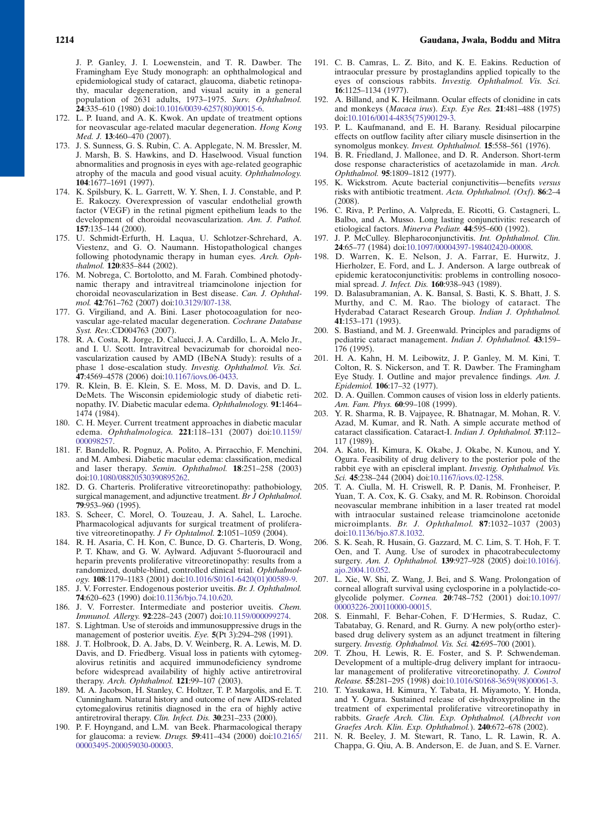- 172. L. P. Iuand, and A. K. Kwok. An update of treatment options for neovascular age-related macular degeneration. Hong Kong Med. J. 13:460-470 (2007).
- 173. J. S. Sunness, G. S. Rubin, C. A. Applegate, N. M. Bressler, M. J. Marsh, B. S. Hawkins, and D. Haselwood. Visual function abnormalities and prognosis in eyes with age-related geographic atrophy of the macula and good visual acuity. Ophthalmology. 104:1677–1691 (1997).
- 174. K. Spilsbury, K. L. Garrett, W. Y. Shen, I. J. Constable, and P. E. Rakoczy. Overexpression of vascular endothelial growth factor (VEGF) in the retinal pigment epithelium leads to the development of choroidal neovascularization. Am. J. Pathol. 157:135–144 (2000).
- 175. U. Schmidt-Erfurth, H. Laqua, U. Schlotzer-Schrehard, A. Viestenz, and G. O. Naumann. Histopathological changes following photodynamic therapy in human eyes. Arch. Ophthalmol. 120:835–844 (2002).
- 176. M. Nobrega, C. Bortolotto, and M. Farah. Combined photodynamic therapy and intravitreal triamcinolone injection for choroidal neovascularization in Best disease. Can. J. Ophthalmol. 42:761–762 (2007) doi:10.3129/I07-138.
- 177. G. Virgiliand, and A. Bini. Laser photocoagulation for neovascular age-related macular degeneration. Cochrane Database Syst. Rev.:CD004763 (2007).
- 178. R. A. Costa, R. Jorge, D. Calucci, J. A. Cardillo, L. A. Melo Jr., and I. U. Scott. Intravitreal bevacizumab for choroidal neovascularization caused by AMD (IBeNA Study): results of a phase 1 dose-escalation study. Investig. Ophthalmol. Vis. Sci. 47:4569–4578 (2006) doi:10.1167/iovs.06-0433.
- 179. R. Klein, B. E. Klein, S. E. Moss, M. D. Davis, and D. L. DeMets. The Wisconsin epidemiologic study of diabetic retinopathy. IV. Diabetic macular edema. Ophthalmology. 91:1464– 1474 (1984).
- 180. C. H. Meyer. Current treatment approaches in diabetic macular edema. Ophthalmologica. 221:118–131 (2007) doi:10.1159/ 000098257.
- 181. F. Bandello, R. Pognuz, A. Polito, A. Pirracchio, F. Menchini, and M. Ambesi. Diabetic macular edema: classification, medical and laser therapy. Semin. Ophthalmol. 18:251–258 (2003) doi:10.1080/08820530390895262.
- 182. D. G. Charteris. Proliferative vitreoretinopathy: pathobiology, surgical management, and adjunctive treatment. Br J Ophthalmol. 79:953–960 (1995).
- 183. S. Scheer, C. Morel, O. Touzeau, J. A. Sahel, L. Laroche. Pharmacological adjuvants for surgical treatment of proliferative vitreoretinopathy. J Fr Ophtalmol. 2:1051–1059 (2004).
- 184. R. H. Asaria, C. H. Kon, C. Bunce, D. G. Charteris, D. Wong, P. T. Khaw, and G. W. Aylward. Adjuvant 5-fluorouracil and heparin prevents proliferative vitreoretinopathy: results from a randomized, double-blind, controlled clinical trial. Ophthalmology. 108:1179–1183 (2001) doi:10.1016/S0161-6420(01)00589-9.
- 185. J. V. Forrester. Endogenous posterior uveitis. Br. J. Ophthalmol. 74:620–623 (1990) doi:10.1136/bjo.74.10.620.
- 186. J. V. Forrester. Intermediate and posterior uveitis. Chem. Immunol. Allergy. 92:228–243 (2007) doi:10.1159/000099274.
- 187. S. Lightman. Use of steroids and immunosuppressive drugs in the management of posterior uveitis. Eye. 5(Pt 3):294-298 (1991).
- 188. J. T. Holbrook, D. A. Jabs, D. V. Weinberg, R. A. Lewis, M. D. Davis, and D. Friedberg. Visual loss in patients with cytomegalovirus retinitis and acquired immunodeficiency syndrome before widespread availability of highly active antiretroviral therapy. Arch. Ophthalmol. 121:99–107 (2003).
- 189. M. A. Jacobson, H. Stanley, C. Holtzer, T. P. Margolis, and E. T. Cunningham. Natural history and outcome of new AIDS-related cytomegalovirus retinitis diagnosed in the era of highly active antiretroviral therapy. Clin. Infect. Dis. 30:231–233 (2000).
- 190. P. F. Hoyngand, and L.M. van Beek. Pharmacological therapy for glaucoma: a review. Drugs. 59:411–434 (2000) doi:10.2165/ 00003495-200059030-00003.
- 191. C. B. Camras, L. Z. Bito, and K. E. Eakins. Reduction of intraocular pressure by prostaglandins applied topically to the eyes of conscious rabbits. Investig. Ophthalmol. Vis. Sci. 16:1125–1134 (1977).
- 192. A. Billand, and K. Heilmann. Ocular effects of clonidine in cats and monkeys (Macaca irus). Exp. Eye Res. 21:481–488 (1975) doi:10.1016/0014-4835(75)90129-3.
- 193. P. L. Kaufmanand, and E. H. Barany. Residual pilocarpine effects on outflow facility after ciliary muscle disinsertion in the synomolgus monkey. Invest. Ophthalmol. 15:558-561 (1976).
- 194. B. R. Friedland, J. Mallonee, and D. R. Anderson. Short-term dose response characteristics of acetazolamide in man. Arch. Ophthalmol. 95:1809–1812 (1977).
- 195. K. Wickstrom. Acute bacterial conjunctivitis—benefits versus risks with antibiotic treatment. Acta. Ophthalmol. (Oxf). 86:2–4 (2008).
- 196. C. Riva, P. Perlino, A. Valpreda, E. Ricotti, G. Castagneri, L. Balbo, and A. Musso. Long lasting conjunctivitis: research of etiological factors. Minerva Pediatr. 44:595–600 (1992).
- 197. J. P. McCulley. Blepharoconjunctivitis. Int. Ophthalmol. Clin. 24:65–77 (1984) doi:10.1097/00004397-198402420-00008.
- 198. D. Warren, K. E. Nelson, J. A. Farrar, E. Hurwitz, J. Hierholzer, E. Ford, and L. J. Anderson. A large outbreak of epidemic keratoconjunctivitis: problems in controlling nosocomial spread. J. Infect. Dis. 160:938–943 (1989).
- 199. D. Balasubramanian, A. K. Bansal, S. Basti, K. S. Bhatt, J. S. Murthy, and C. M. Rao. The biology of cataract. The Hyderabad Cataract Research Group. Indian J. Ophthalmol. 41:153–171 (1993).
- 200. S. Bastiand, and M. J. Greenwald. Principles and paradigms of pediatric cataract management. Indian J. Ophthalmol. 43:159– 176 (1995).
- 201. H. A. Kahn, H. M. Leibowitz, J. P. Ganley, M. M. Kini, T. Colton, R. S. Nickerson, and T. R. Dawber. The Framingham Eye Study. I. Outline and major prevalence findings. Am. J. Epidemiol. 106:17–32 (1977).
- 202. D. A. Quillen. Common causes of vision loss in elderly patients. Am. Fam. Phys. 60:99-108 (1999).
- 203. Y. R. Sharma, R. B. Vajpayee, R. Bhatnagar, M. Mohan, R. V. Azad, M. Kumar, and R. Nath. A simple accurate method of cataract classification. Cataract-I. Indian J. Ophthalmol. 37:112– 117 (1989).
- 204. A. Kato, H. Kimura, K. Okabe, J. Okabe, N. Kunou, and Y. Ogura. Feasibility of drug delivery to the posterior pole of the rabbit eye with an episcleral implant. Investig. Ophthalmol. Vis. Sci. 45:238–244 (2004) doi:10.1167/iovs.02-1258.
- 205. T. A. Ciulla, M. H. Criswell, R. P. Danis, M. Fronheiser, P. Yuan, T. A. Cox, K. G. Csaky, and M. R. Robinson. Choroidal neovascular membrane inhibition in a laser treated rat model with intraocular sustained release triamcinolone acetonide microimplants. Br. J. Ophthalmol. 87:1032–1037 (2003) doi:10.1136/bjo.87.8.1032.
- 206. S. K. Seah, R. Husain, G. Gazzard, M. C. Lim, S. T. Hoh, F. T. Oen, and T. Aung. Use of surodex in phacotrabeculectomy surgery. Am. J. Ophthalmol. 139:927-928 (2005) doi:10.1016/j. ajo.2004.10.052.
- 207. L. Xie, W. Shi, Z. Wang, J. Bei, and S. Wang. Prolongation of corneal allograft survival using cyclosporine in a polylactide-coglycolide polymer. Cornea. 20:748-752 (2001) doi:10.1097/ 00003226-200110000-00015.
- 208. S. Einmahl, F. Behar-Cohen, F. D'Hermies, S. Rudaz, C. Tabatabay, G. Renard, and R. Gurny. A new poly(ortho ester) based drug delivery system as an adjunct treatment in filtering surgery. Investig. Ophthalmol. Vis. Sci. 42:695–700 (2001).
- 209. T. Zhou, H. Lewis, R. E. Foster, and S. P. Schwendeman. Development of a multiple-drug delivery implant for intraocular management of proliferative vitreoretinopathy. J. Control Release. 55:281–295 (1998) doi:10.1016/S0168-3659(98)00061-3.
- 210. T. Yasukawa, H. Kimura, Y. Tabata, H. Miyamoto, Y. Honda, and Y. Ogura. Sustained release of cis-hydroxyproline in the treatment of experimental proliferative vitreoretinopathy in rabbits. Graefe Arch. Clin. Exp. Ophthalmol. (Albrecht von Graefes Arch. Klin. Exp. Ophthalmol.). 240:672–678 (2002).
- 211. N. R. Beeley, J. M. Stewart, R. Tano, L. R. Lawin, R. A. Chappa, G. Qiu, A. B. Anderson, E. de Juan, and S. E. Varner.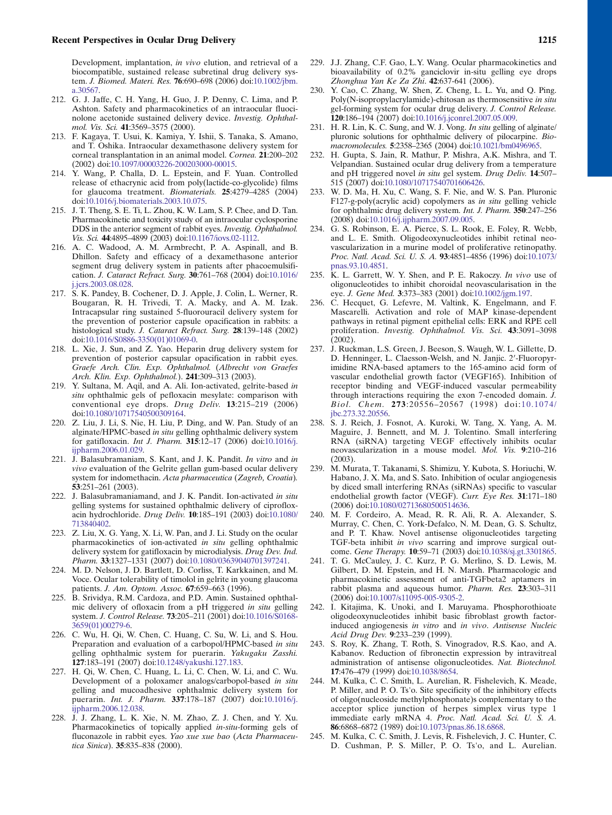Development, implantation, in vivo elution, and retrieval of a biocompatible, sustained release subretinal drug delivery system. J. Biomed. Materi. Res. 76:690–698 (2006) doi:10.1002/jbm. a.30567.

- 212. G. J. Jaffe, C. H. Yang, H. Guo, J. P. Denny, C. Lima, and P. Ashton. Safety and pharmacokinetics of an intraocular fluocinolone acetonide sustained delivery device. Investig. Ophthalmol. Vis. Sci. 41:3569–3575 (2000).
- 213. F. Kagaya, T. Usui, K. Kamiya, Y. Ishii, S. Tanaka, S. Amano, and T. Oshika. Intraocular dexamethasone delivery system for corneal transplantation in an animal model. Cornea. 21:200–202 (2002) doi:10.1097/00003226-200203000-00015.
- 214. Y. Wang, P. Challa, D. L. Epstein, and F. Yuan. Controlled release of ethacrynic acid from poly(lactide-co-glycolide) films for glaucoma treatment. Biomaterials. 25:4279–4285 (2004) doi:10.1016/j.biomaterials.2003.10.075.
- 215. J. T. Theng, S. E. Ti, L. Zhou, K. W. Lam, S. P. Chee, and D. Tan. Pharmacokinetic and toxicity study of an intraocular cyclosporine DDS in the anterior segment of rabbit eyes. Investig. Ophthalmol. Vis. Sci. 44:4895–4899 (2003) doi:10.1167/iovs.02-1112.
- 216. A. C. Wadood, A. M. Armbrecht, P. A. Aspinall, and B. Dhillon. Safety and efficacy of a dexamethasone anterior segment drug delivery system in patients after phacoemulsification. J. Cataract Refract. Surg. 30:761–768 (2004) doi:10.1016/ j.jcrs.2003.08.028.
- 217. S. K. Pandey, B. Cochener, D. J. Apple, J. Colin, L. Werner, R. Bougaran, R. H. Trivedi, T. A. Macky, and A. M. Izak. Intracapsular ring sustained 5-fluorouracil delivery system for the prevention of posterior capsule opacification in rabbits: a histological study. J. Cataract Refract. Surg. 28:139-148 (2002) doi:10.1016/S0886-3350(01)01069-0.
- 218. L. Xie, J. Sun, and Z. Yao. Heparin drug delivery system for prevention of posterior capsular opacification in rabbit eyes. Graefe Arch. Clin. Exp. Ophthalmol. (Albrecht von Graefes Arch. Klin. Exp. Ophthalmol.). 241:309-313 (2003).
- 219. Y. Sultana, M. Aqil, and A. Ali. Ion-activated, gelrite-based in situ ophthalmic gels of pefloxacin mesylate: comparison with conventional eye drops. Drug Deliv. 13:215–219 (2006) doi:10.1080/10717540500309164.
- 220. Z. Liu, J. Li, S. Nie, H. Liu, P. Ding, and W. Pan. Study of an alginate/HPMC-based in situ gelling ophthalmic delivery system for gatifloxacin. Int J. Pharm. 315:12–17 (2006) doi:10.1016/j. ijpharm.2006.01.029.
- 221. J. Balasubramaniam, S. Kant, and J. K. Pandit. In vitro and in vivo evaluation of the Gelrite gellan gum-based ocular delivery system for indomethacin. Acta pharmaceutica (Zagreb, Croatia). 53:251–261 (2003).
- 222. J. Balasubramaniamand, and J. K. Pandit. Ion-activated in situ gelling systems for sustained ophthalmic delivery of ciprofloxacin hydrochloride. Drug Deliv. 10:185–191 (2003) doi:10.1080/ 713840402.
- 223. Z. Liu, X. G. Yang, X. Li, W. Pan, and J. Li. Study on the ocular pharmacokinetics of ion-activated in situ gelling ophthalmic delivery system for gatifloxacin by microdialysis. Drug Dev. Ind. Pharm. 33:1327–1331 (2007) doi:10.1080/03639040701397241.
- 224. M. D. Nelson, J. D. Bartlett, D. Corliss, T. Karkkainen, and M. Voce. Ocular tolerability of timolol in gelrite in young glaucoma patients. J. Am. Optom. Assoc. 67:659–663 (1996).
- 225. B. Srividya, R.M. Cardoza, and P.D. Amin. Sustained ophthalmic delivery of ofloxacin from a pH triggered in situ gelling system. J. Control Release. 73:205–211 (2001) doi:10.1016/S0168- 3659(01)00279-6.
- 226. C. Wu, H. Qi, W. Chen, C. Huang, C. Su, W. Li, and S. Hou. Preparation and evaluation of a carbopol/HPMC-based in situ gelling ophthalmic system for puerarin. Yakugaku Zasshi. 127:183–191 (2007) doi:10.1248/yakushi.127.183.
- 227. H. Qi, W. Chen, C. Huang, L. Li, C. Chen, W. Li, and C. Wu. Development of a poloxamer analogs/carbopol-based in situ gelling and mucoadhesive ophthalmic delivery system for puerarin. Int. J. Pharm. 337:178–187 (2007) doi:10.1016/j. ijpharm.2006.12.038.
- 228. J. J. Zhang, L. K. Xie, N. M. Zhao, Z. J. Chen, and Y. Xu. Pharmacokinetics of topically applied in-situ-forming gels of fluconazole in rabbit eyes. Yao xue xue bao (Acta Pharmaceutica Sinica). 35:835–838 (2000).
- 229. J.J. Zhang, C.F. Gao, L.Y. Wang. Ocular pharmacokinetics and bioavailability of 0.2% ganciclovir in-situ gelling eye drops Zhonghua Yan Ke Za Zhi. 42:637-641 (2006).
- 230. Y. Cao, C. Zhang, W. Shen, Z. Cheng, L. L. Yu, and Q. Ping. Poly(N-isopropylacrylamide)-chitosan as thermosensitive in situ gel-forming system for ocular drug delivery. J. Control Release. 120:186–194 (2007) doi:10.1016/j.jconrel.2007.05.009.
- 231. H. R. Lin, K. C. Sung, and W. J. Vong. In situ gelling of alginate/ pluronic solutions for ophthalmic delivery of pilocarpine. Biomacromolecules. 5:2358–2365 (2004) doi:10.1021/bm0496965.
- 232. H. Gupta, S. Jain, R. Mathur, P. Mishra, A.K. Mishra, and T. Velpandian. Sustained ocular drug delivery from a temperature and pH triggered novel in situ gel system. Drug Deliv. 14:507– 515 (2007) doi:10.1080/10717540701606426.
- 233. W. D. Ma, H. Xu, C. Wang, S. F. Nie, and W. S. Pan. Pluronic F127-g-poly(acrylic acid) copolymers as in situ gelling vehicle for ophthalmic drug delivery system. Int. J. Pharm. 350:247–256 (2008) doi:10.1016/j.ijpharm.2007.09.005.
- 234. G. S. Robinson, E. A. Pierce, S. L. Rook, E. Foley, R. Webb, and L. E. Smith. Oligodeoxynucleotides inhibit retinal neovascularization in a murine model of proliferative retinopathy. Proc. Natl. Acad. Sci. U. S. A. 93:4851–4856 (1996) doi:10.1073/ pnas.93.10.4851.
- 235. K. L. Garrett, W. Y. Shen, and P. E. Rakoczy. In vivo use of oligonucleotides to inhibit choroidal neovascularisation in the eye. J. Gene Med. 3:373–383 (2001) doi:10.1002/jgm.197.
- 236. C. Hecquet, G. Lefevre, M. Valtink, K. Engelmann, and F. Mascarelli. Activation and role of MAP kinase-dependent pathways in retinal pigment epithelial cells: ERK and RPE cell proliferation. Investig. Ophthalmol. Vis. Sci. 43:3091–3098 (2002).
- 237. J. Ruckman, L.S. Green, J. Beeson, S. Waugh, W. L. Gillette, D. D. Henninger, L. Claesson-Welsh, and N. Janjic. 2′-Fluoropyrimidine RNA-based aptamers to the 165-amino acid form of vascular endothelial growth factor (VEGF165). Inhibition of receptor binding and VEGF-induced vascular permeability through interactions requiring the exon 7-encoded domain. J. Biol. Chem. 273:20556–20567 (1998) doi:10.1074/ jbc.273.32.20556.
- 238. S. J. Reich, J. Fosnot, A. Kuroki, W. Tang, X. Yang, A. M. Maguire, J. Bennett, and M. J. Tolentino. Small interfering RNA (siRNA) targeting VEGF effectively inhibits ocular neovascularization in a mouse model. Mol. Vis. 9:210–216 (2003).
- 239. M. Murata, T. Takanami, S. Shimizu, Y. Kubota, S. Horiuchi, W. Habano, J. X. Ma, and S. Sato. Inhibition of ocular angiogenesis by diced small interfering RNAs (siRNAs) specific to vascular endothelial growth factor (VEGF). Curr. Eye Res. 31:171–180 (2006) doi:10.1080/02713680500514636.
- 240. M. F. Cordeiro, A. Mead, R. R. Ali, R. A. Alexander, S. Murray, C. Chen, C. York-Defalco, N. M. Dean, G. S. Schultz, and P. T. Khaw. Novel antisense oligonucleotides targeting TGF-beta inhibit in vivo scarring and improve surgical outcome. Gene Therapy. 10:59–71 (2003) doi:10.1038/sj.gt.3301865.
- 241. T. G. McCauley, J. C. Kurz, P. G. Merlino, S. D. Lewis, M. Gilbert, D. M. Epstein, and H. N. Marsh. Pharmacologic and pharmacokinetic assessment of anti-TGFbeta2 aptamers in rabbit plasma and aqueous humor. Pharm. Res. 23:303–311 (2006) doi:10.1007/s11095-005-9305-2.
- 242. I. Kitajima, K. Unoki, and I. Maruyama. Phosphorothioate oligodeoxynucleotides inhibit basic fibroblast growth factorinduced angiogenesis in vitro and in vivo. Antisense Nucleic Acid Drug Dev. 9:233–239 (1999).
- 243. S. Roy, K. Zhang, T. Roth, S. Vinogradov, R.S. Kao, and A. Kabanov. Reduction of fibronectin expression by intravitreal administration of antisense oligonucleotides. Nat. Biotechnol. 17:476–479 (1999) doi:10.1038/8654.
- 244. M. Kulka, C. C. Smith, L. Aurelian, R. Fishelevich, K. Meade, P. Miller, and P. O. Ts'o. Site specificity of the inhibitory effects of oligo(nucleoside methylphosphonate)s complementary to the acceptor splice junction of herpes simplex virus type 1 immediate early mRNA 4. Proc. Natl. Acad. Sci. U. S. A. 86:6868–6872 (1989) doi:10.1073/pnas.86.18.6868.
- 245. M. Kulka, C. C. Smith, J. Levis, R. Fishelevich, J. C. Hunter, C. D. Cushman, P. S. Miller, P. O. Ts'o, and L. Aurelian.